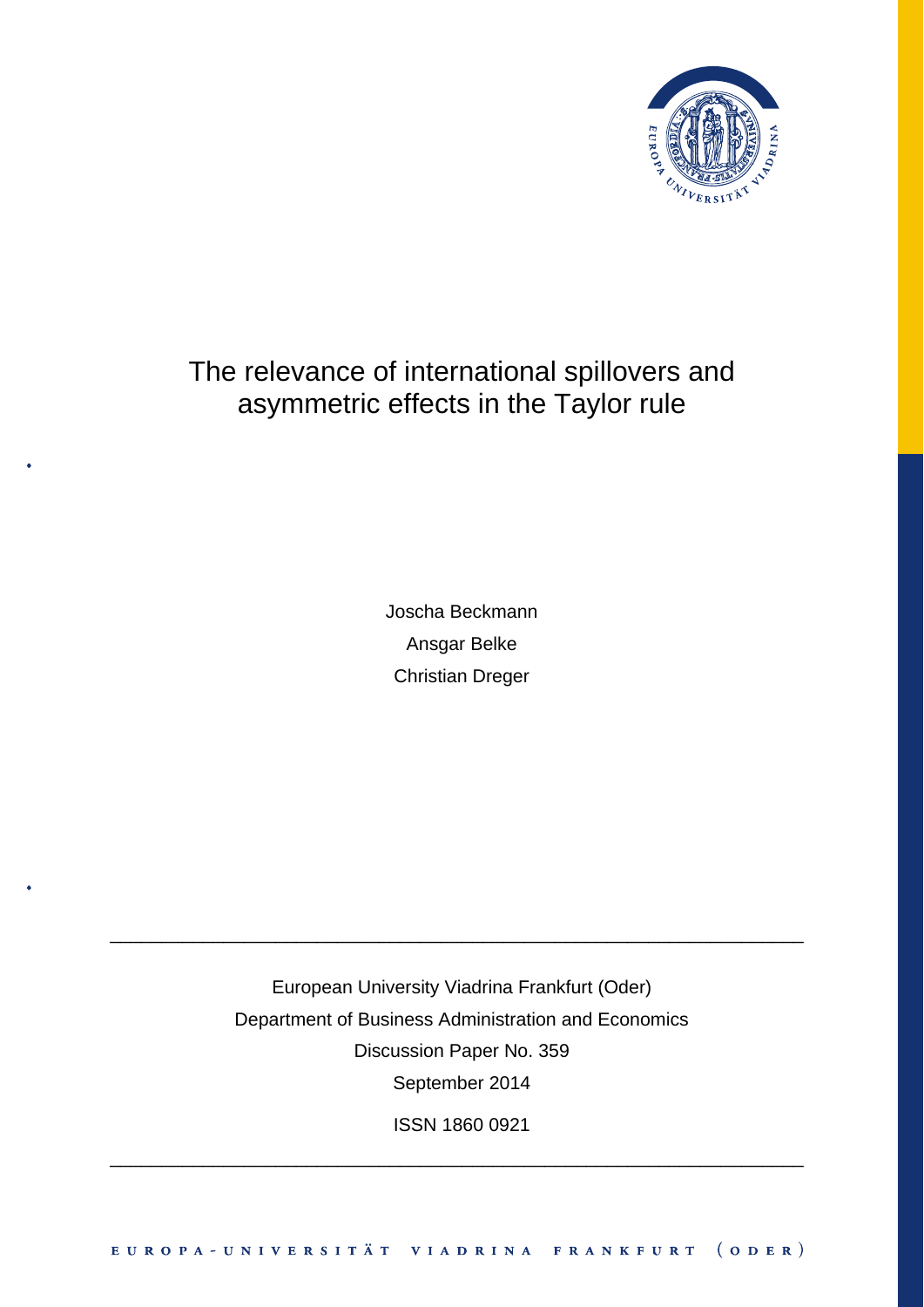

# The relevance of international spillovers and asymmetric effects in the Taylor rule

Joscha Beckmann Ansgar Belke Christian Dreger

European University Viadrina Frankfurt (Oder) Department of Business Administration and Economics Discussion Paper No. 359 September 2014

\_\_\_\_\_\_\_\_\_\_\_\_\_\_\_\_\_\_\_\_\_\_\_\_\_\_\_\_\_\_\_\_\_\_\_\_\_\_\_\_\_\_\_\_\_\_\_\_\_\_\_\_\_\_\_\_\_\_\_\_\_\_\_\_\_\_\_

ISSN 1860 0921

\_\_\_\_\_\_\_\_\_\_\_\_\_\_\_\_\_\_\_\_\_\_\_\_\_\_\_\_\_\_\_\_\_\_\_\_\_\_\_\_\_\_\_\_\_\_\_\_\_\_\_\_\_\_\_\_\_\_\_\_\_\_\_\_\_\_\_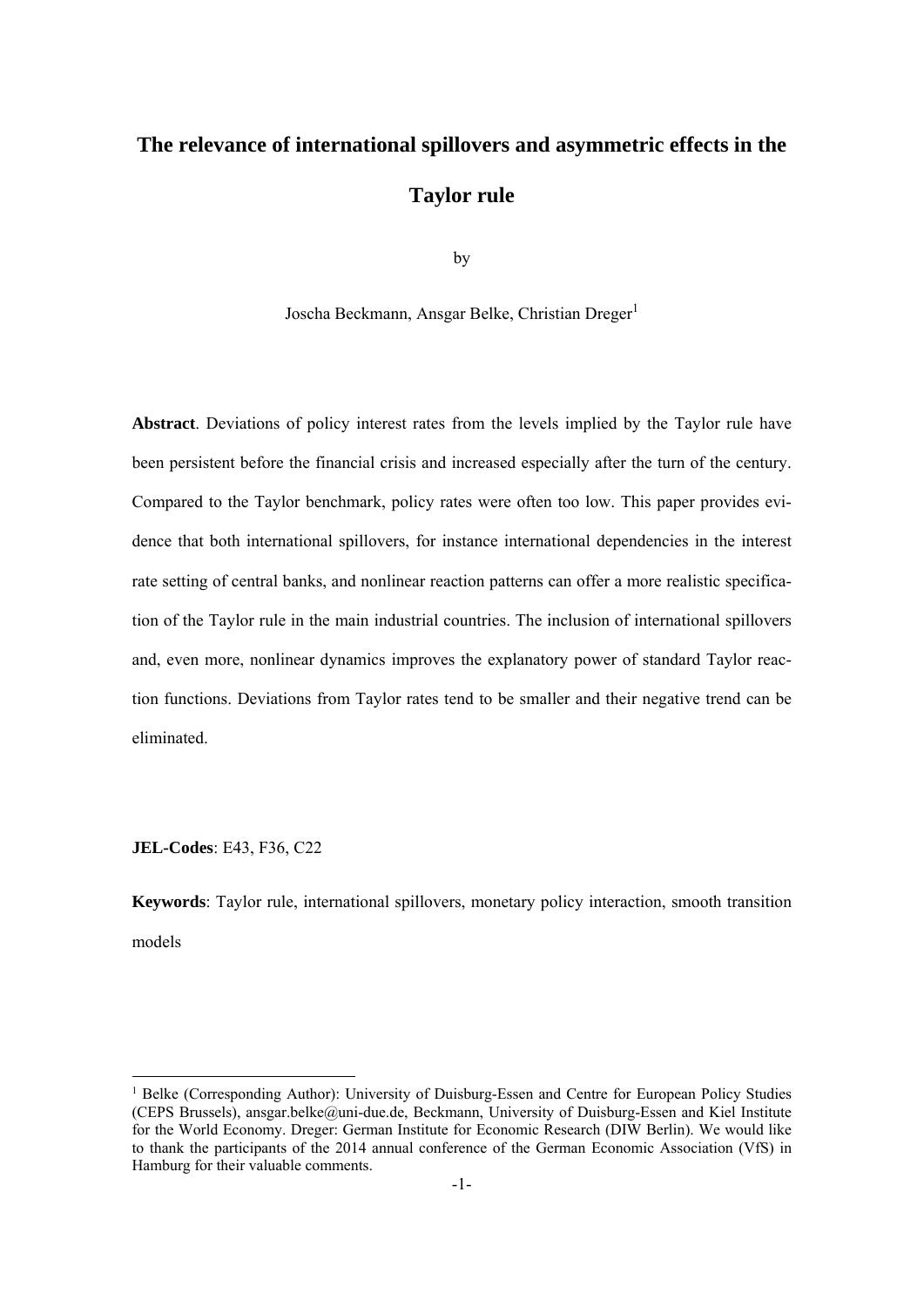# **The relevance of international spillovers and asymmetric effects in the Taylor rule**

by

Joscha Beckmann, Ansgar Belke, Christian Dreger<sup>1</sup>

**Abstract**. Deviations of policy interest rates from the levels implied by the Taylor rule have been persistent before the financial crisis and increased especially after the turn of the century. Compared to the Taylor benchmark, policy rates were often too low. This paper provides evidence that both international spillovers, for instance international dependencies in the interest rate setting of central banks, and nonlinear reaction patterns can offer a more realistic specification of the Taylor rule in the main industrial countries. The inclusion of international spillovers and, even more, nonlinear dynamics improves the explanatory power of standard Taylor reaction functions. Deviations from Taylor rates tend to be smaller and their negative trend can be eliminated.

**JEL-Codes**: E43, F36, C22

**Keywords**: Taylor rule, international spillovers, monetary policy interaction, smooth transition models

<sup>&</sup>lt;sup>1</sup> Belke (Corresponding Author): University of Duisburg-Essen and Centre for European Policy Studies (CEPS Brussels), ansgar.belke@uni-due.de, Beckmann, University of Duisburg-Essen and Kiel Institute for the World Economy. Dreger: German Institute for Economic Research (DIW Berlin). We would like to thank the participants of the 2014 annual conference of the German Economic Association (VfS) in Hamburg for their valuable comments.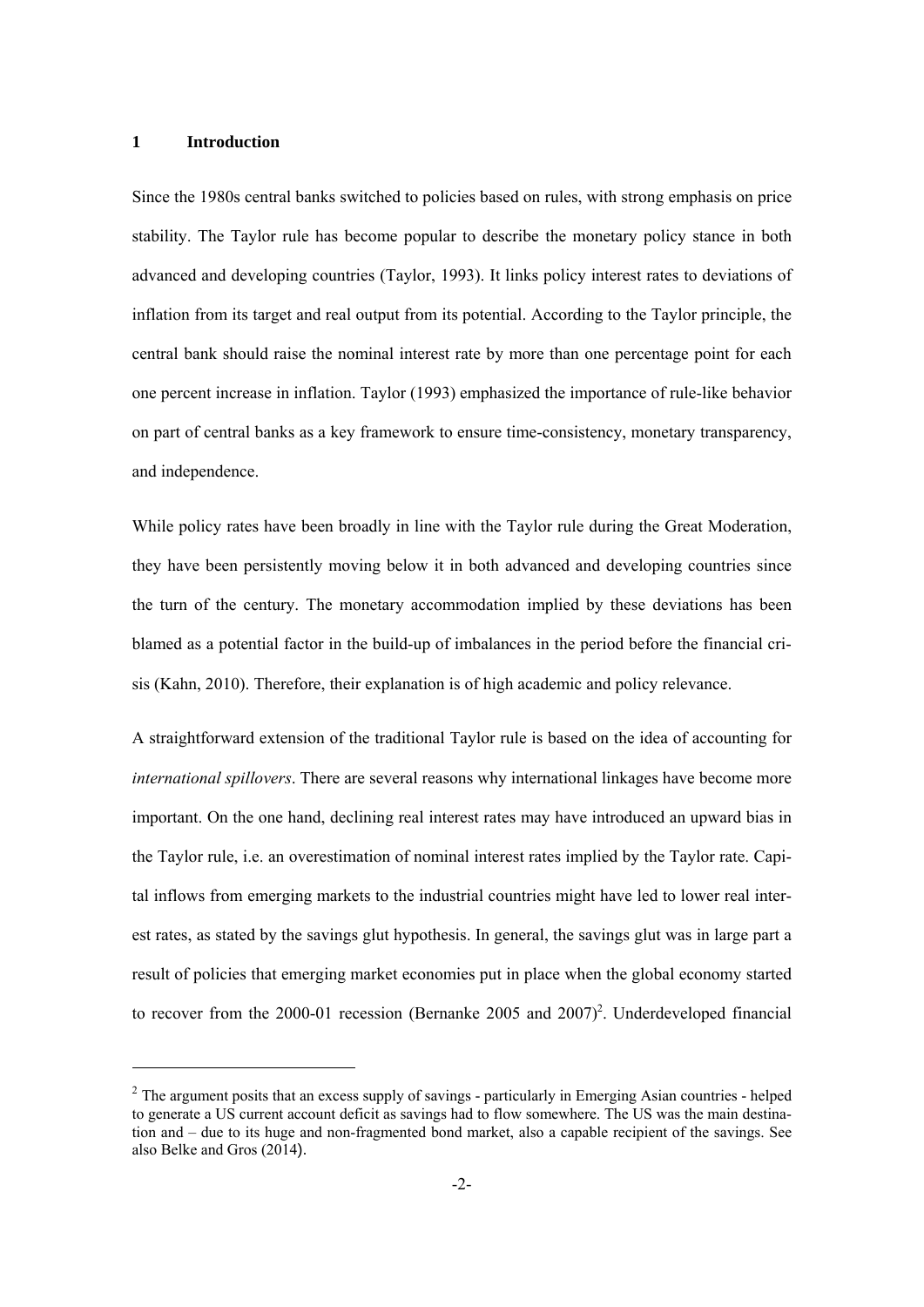#### **1 Introduction**

Since the 1980s central banks switched to policies based on rules, with strong emphasis on price stability. The Taylor rule has become popular to describe the monetary policy stance in both advanced and developing countries (Taylor, 1993). It links policy interest rates to deviations of inflation from its target and real output from its potential. According to the Taylor principle, the central bank should raise the nominal interest rate by more than one percentage point for each one percent increase in inflation. Taylor (1993) emphasized the importance of rule-like behavior on part of central banks as a key framework to ensure time-consistency, monetary transparency, and independence.

While policy rates have been broadly in line with the Taylor rule during the Great Moderation, they have been persistently moving below it in both advanced and developing countries since the turn of the century. The monetary accommodation implied by these deviations has been blamed as a potential factor in the build-up of imbalances in the period before the financial crisis (Kahn, 2010). Therefore, their explanation is of high academic and policy relevance.

A straightforward extension of the traditional Taylor rule is based on the idea of accounting for *international spillovers*. There are several reasons why international linkages have become more important. On the one hand, declining real interest rates may have introduced an upward bias in the Taylor rule, i.e. an overestimation of nominal interest rates implied by the Taylor rate. Capital inflows from emerging markets to the industrial countries might have led to lower real interest rates, as stated by the savings glut hypothesis. In general, the savings glut was in large part a result of policies that emerging market economies put in place when the global economy started to recover from the 2000-01 recession (Bernanke 2005 and  $2007$ )<sup>2</sup>. Underdeveloped financial

 $2$  The argument posits that an excess supply of savings - particularly in Emerging Asian countries - helped to generate a US current account deficit as savings had to flow somewhere. The US was the main destination and – due to its huge and non-fragmented bond market, also a capable recipient of the savings. See also Belke and Gros (2014).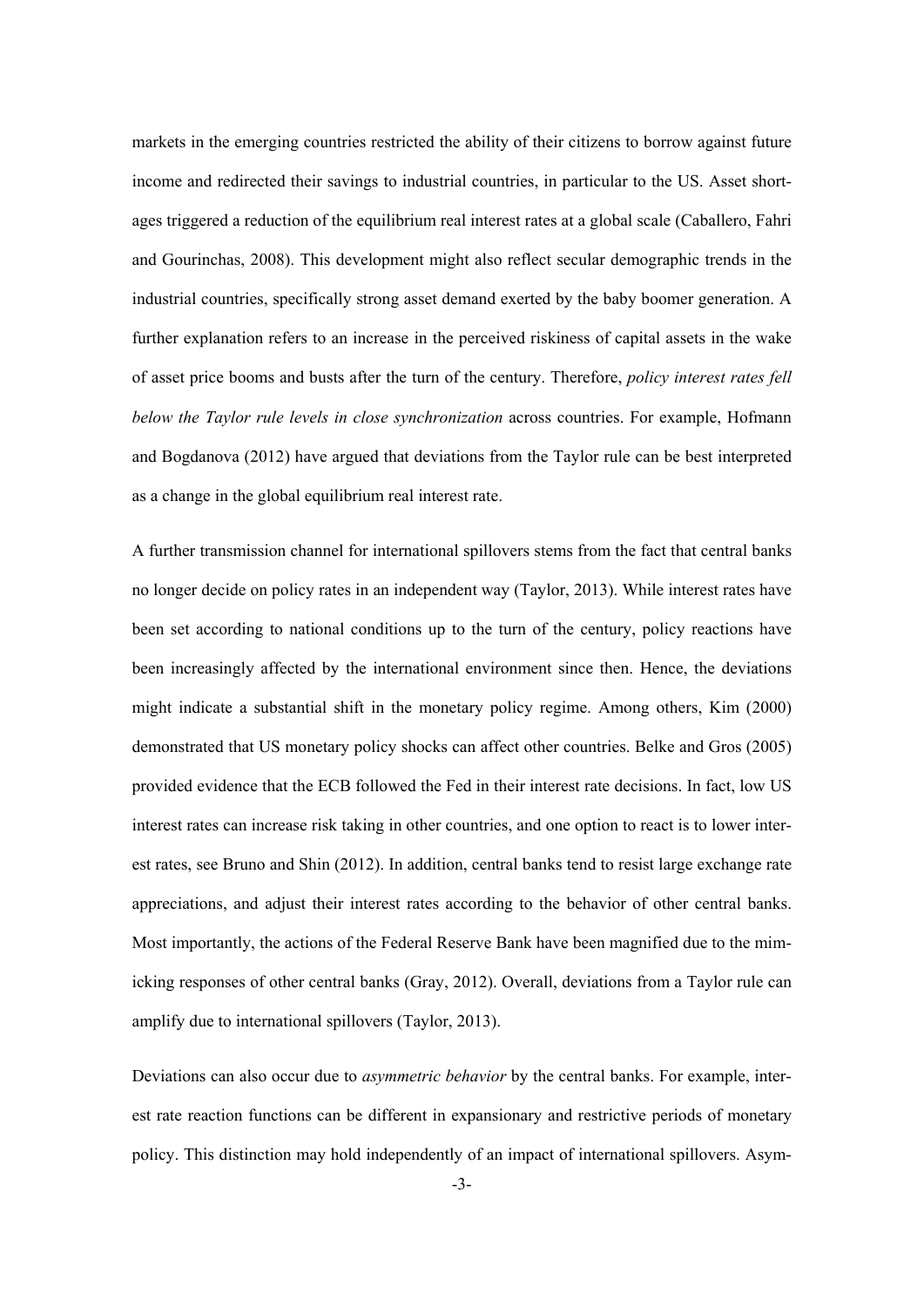markets in the emerging countries restricted the ability of their citizens to borrow against future income and redirected their savings to industrial countries, in particular to the US. Asset shortages triggered a reduction of the equilibrium real interest rates at a global scale (Caballero, Fahri and Gourinchas, 2008). This development might also reflect secular demographic trends in the industrial countries, specifically strong asset demand exerted by the baby boomer generation. A further explanation refers to an increase in the perceived riskiness of capital assets in the wake of asset price booms and busts after the turn of the century. Therefore, *policy interest rates fell below the Taylor rule levels in close synchronization* across countries. For example, Hofmann and Bogdanova (2012) have argued that deviations from the Taylor rule can be best interpreted as a change in the global equilibrium real interest rate.

A further transmission channel for international spillovers stems from the fact that central banks no longer decide on policy rates in an independent way (Taylor, 2013). While interest rates have been set according to national conditions up to the turn of the century, policy reactions have been increasingly affected by the international environment since then. Hence, the deviations might indicate a substantial shift in the monetary policy regime. Among others, Kim (2000) demonstrated that US monetary policy shocks can affect other countries. Belke and Gros (2005) provided evidence that the ECB followed the Fed in their interest rate decisions. In fact, low US interest rates can increase risk taking in other countries, and one option to react is to lower interest rates, see Bruno and Shin (2012). In addition, central banks tend to resist large exchange rate appreciations, and adjust their interest rates according to the behavior of other central banks. Most importantly, the actions of the Federal Reserve Bank have been magnified due to the mimicking responses of other central banks (Gray, 2012). Overall, deviations from a Taylor rule can amplify due to international spillovers (Taylor, 2013).

Deviations can also occur due to *asymmetric behavior* by the central banks. For example, interest rate reaction functions can be different in expansionary and restrictive periods of monetary policy. This distinction may hold independently of an impact of international spillovers. Asym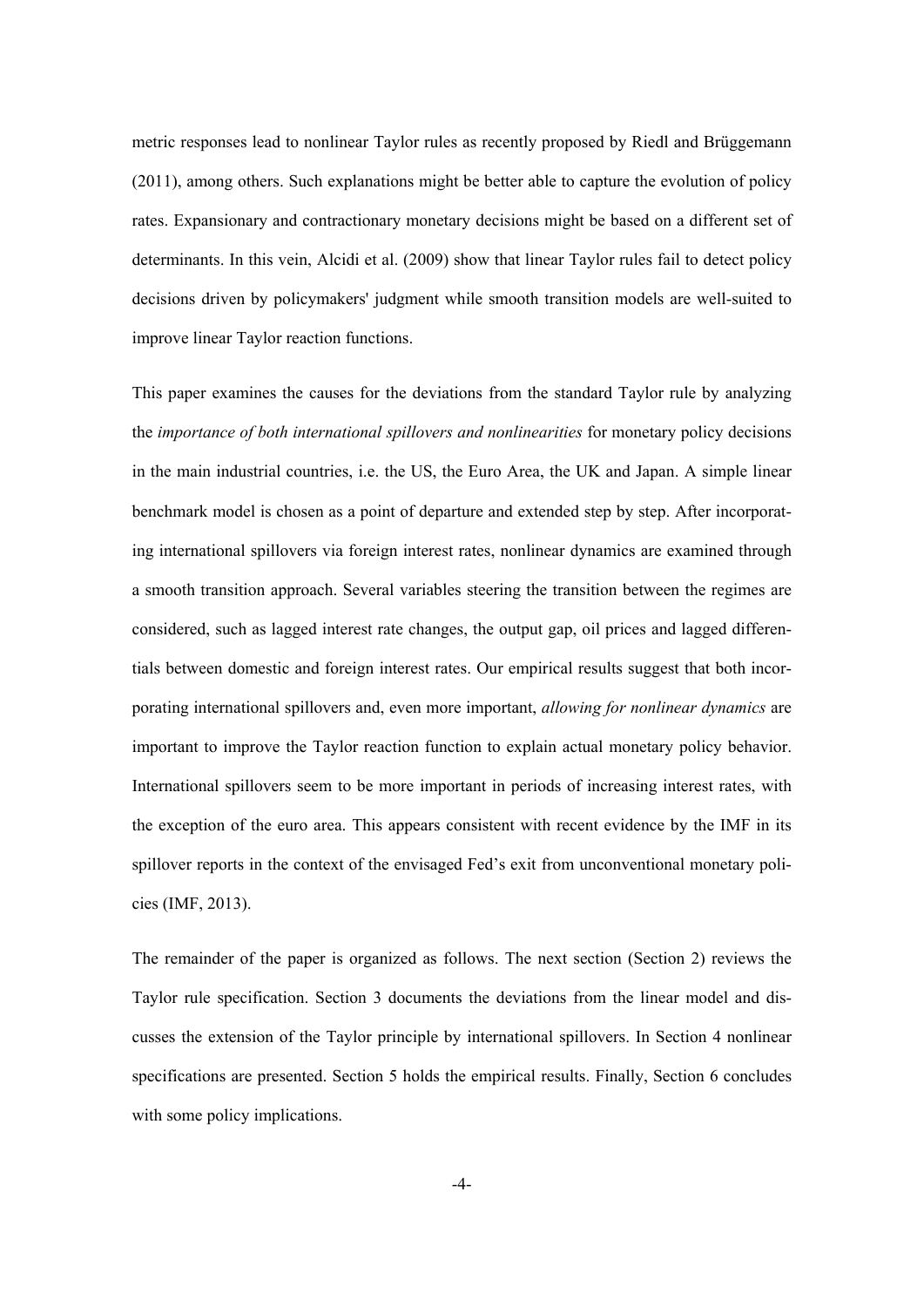metric responses lead to nonlinear Taylor rules as recently proposed by Riedl and Brüggemann (2011), among others. Such explanations might be better able to capture the evolution of policy rates. Expansionary and contractionary monetary decisions might be based on a different set of determinants. In this vein, Alcidi et al. (2009) show that linear Taylor rules fail to detect policy decisions driven by policymakers' judgment while smooth transition models are well-suited to improve linear Taylor reaction functions.

This paper examines the causes for the deviations from the standard Taylor rule by analyzing the *importance of both international spillovers and nonlinearities* for monetary policy decisions in the main industrial countries, i.e. the US, the Euro Area, the UK and Japan. A simple linear benchmark model is chosen as a point of departure and extended step by step. After incorporating international spillovers via foreign interest rates, nonlinear dynamics are examined through a smooth transition approach. Several variables steering the transition between the regimes are considered, such as lagged interest rate changes, the output gap, oil prices and lagged differentials between domestic and foreign interest rates. Our empirical results suggest that both incorporating international spillovers and, even more important, *allowing for nonlinear dynamics* are important to improve the Taylor reaction function to explain actual monetary policy behavior. International spillovers seem to be more important in periods of increasing interest rates, with the exception of the euro area. This appears consistent with recent evidence by the IMF in its spillover reports in the context of the envisaged Fed's exit from unconventional monetary policies (IMF, 2013).

The remainder of the paper is organized as follows. The next section (Section 2) reviews the Taylor rule specification. Section 3 documents the deviations from the linear model and discusses the extension of the Taylor principle by international spillovers. In Section 4 nonlinear specifications are presented. Section 5 holds the empirical results. Finally, Section 6 concludes with some policy implications.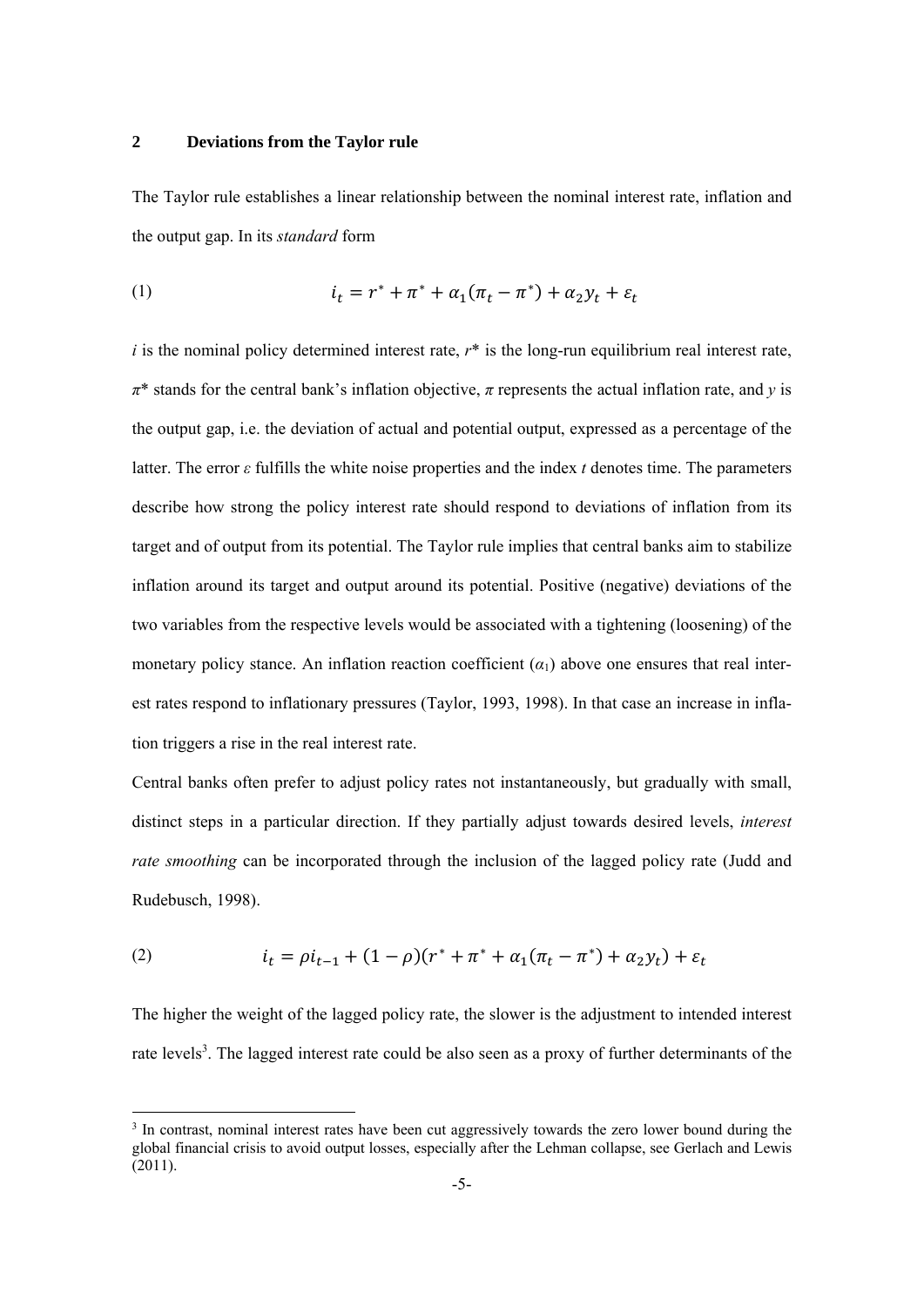#### **2 Deviations from the Taylor rule**

The Taylor rule establishes a linear relationship between the nominal interest rate, inflation and the output gap. In its *standard* form

(1) 
$$
i_t = r^* + \pi^* + \alpha_1(\pi_t - \pi^*) + \alpha_2 y_t + \varepsilon_t
$$

 $\hat{i}$  is the nominal policy determined interest rate,  $r^*$  is the long-run equilibrium real interest rate, *π*\* stands for the central bank's inflation objective, *π* represents the actual inflation rate, and *y* is the output gap, i.e. the deviation of actual and potential output, expressed as a percentage of the latter. The error  $\varepsilon$  fulfills the white noise properties and the index *t* denotes time. The parameters describe how strong the policy interest rate should respond to deviations of inflation from its target and of output from its potential. The Taylor rule implies that central banks aim to stabilize inflation around its target and output around its potential. Positive (negative) deviations of the two variables from the respective levels would be associated with a tightening (loosening) of the monetary policy stance. An inflation reaction coefficient  $(a_1)$  above one ensures that real interest rates respond to inflationary pressures (Taylor, 1993, 1998). In that case an increase in inflation triggers a rise in the real interest rate.

Central banks often prefer to adjust policy rates not instantaneously, but gradually with small, distinct steps in a particular direction. If they partially adjust towards desired levels, *interest rate smoothing* can be incorporated through the inclusion of the lagged policy rate (Judd and Rudebusch, 1998).

(2) 
$$
i_t = \rho i_{t-1} + (1 - \rho)(r^* + \pi^* + \alpha_1(\pi_t - \pi^*) + \alpha_2 y_t) + \varepsilon_t
$$

The higher the weight of the lagged policy rate, the slower is the adjustment to intended interest rate levels<sup>3</sup>. The lagged interest rate could be also seen as a proxy of further determinants of the

<sup>&</sup>lt;sup>3</sup> In contrast, nominal interest rates have been cut aggressively towards the zero lower bound during the global financial crisis to avoid output losses, especially after the Lehman collapse, see Gerlach and Lewis (2011).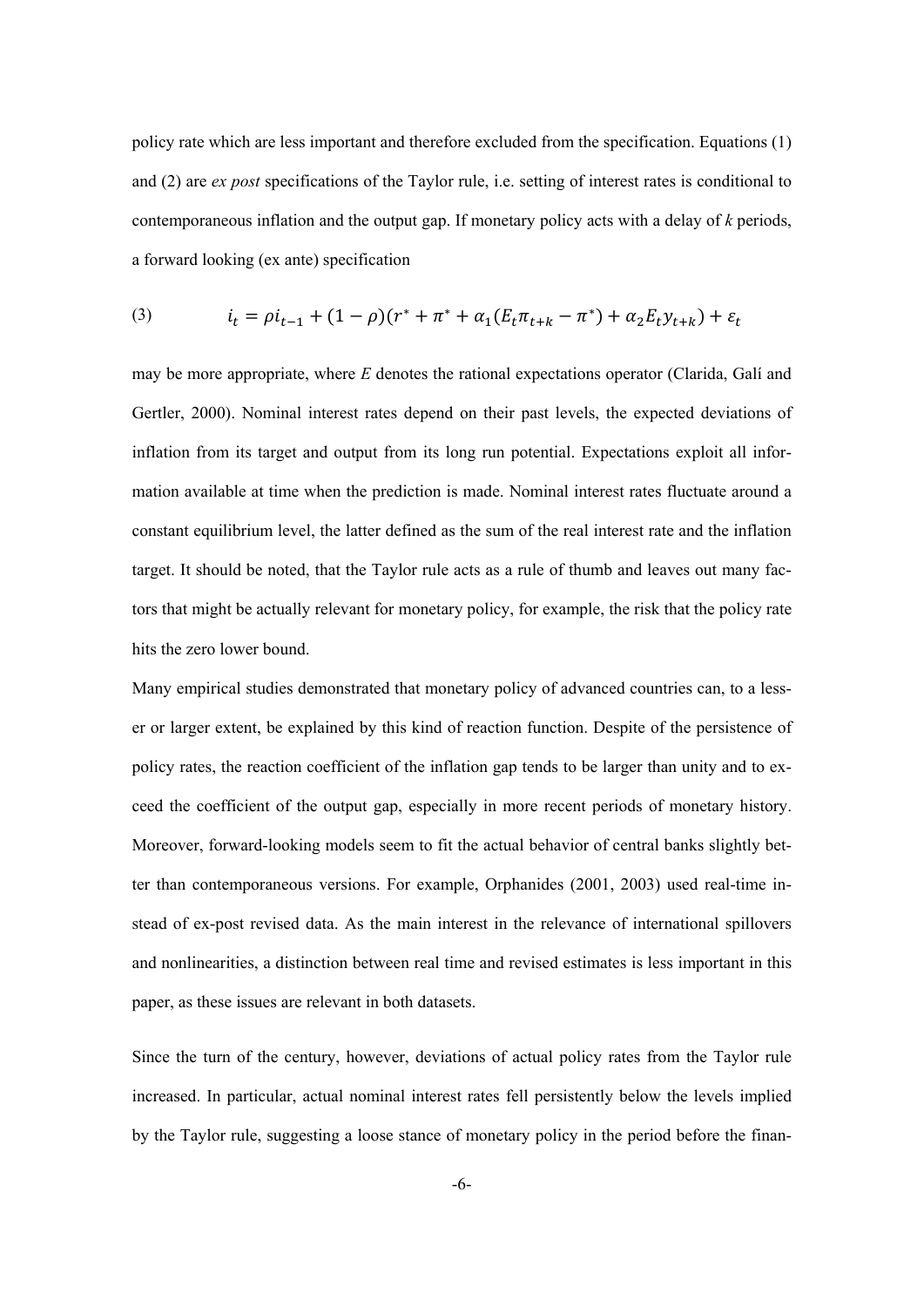policy rate which are less important and therefore excluded from the specification. Equations (1) and (2) are *ex post* specifications of the Taylor rule, i.e. setting of interest rates is conditional to contemporaneous inflation and the output gap. If monetary policy acts with a delay of *k* periods, a forward looking (ex ante) specification

(3) 
$$
i_t = \rho i_{t-1} + (1 - \rho)(r^* + \pi^* + \alpha_1(E_t \pi_{t+k} - \pi^*) + \alpha_2 E_t y_{t+k}) + \varepsilon_t
$$

may be more appropriate, where *E* denotes the rational expectations operator (Clarida, Galí and Gertler, 2000). Nominal interest rates depend on their past levels, the expected deviations of inflation from its target and output from its long run potential. Expectations exploit all information available at time when the prediction is made. Nominal interest rates fluctuate around a constant equilibrium level, the latter defined as the sum of the real interest rate and the inflation target. It should be noted, that the Taylor rule acts as a rule of thumb and leaves out many factors that might be actually relevant for monetary policy, for example, the risk that the policy rate hits the zero lower bound.

Many empirical studies demonstrated that monetary policy of advanced countries can, to a lesser or larger extent, be explained by this kind of reaction function. Despite of the persistence of policy rates, the reaction coefficient of the inflation gap tends to be larger than unity and to exceed the coefficient of the output gap, especially in more recent periods of monetary history. Moreover, forward-looking models seem to fit the actual behavior of central banks slightly better than contemporaneous versions. For example, Orphanides (2001, 2003) used real-time instead of ex-post revised data. As the main interest in the relevance of international spillovers and nonlinearities, a distinction between real time and revised estimates is less important in this paper, as these issues are relevant in both datasets.

Since the turn of the century, however, deviations of actual policy rates from the Taylor rule increased. In particular, actual nominal interest rates fell persistently below the levels implied by the Taylor rule, suggesting a loose stance of monetary policy in the period before the finan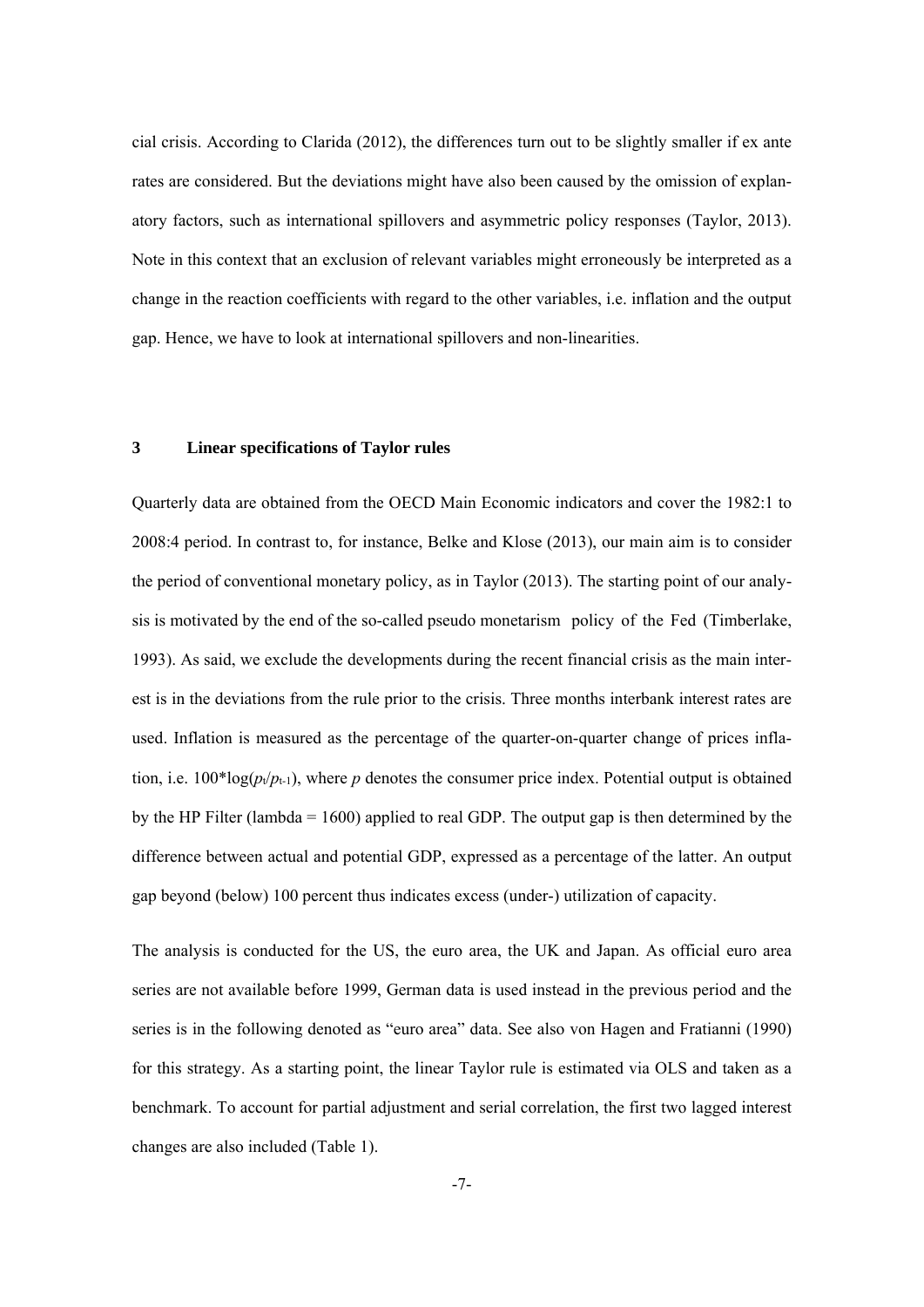cial crisis. According to Clarida (2012), the differences turn out to be slightly smaller if ex ante rates are considered. But the deviations might have also been caused by the omission of explanatory factors, such as international spillovers and asymmetric policy responses (Taylor, 2013). Note in this context that an exclusion of relevant variables might erroneously be interpreted as a change in the reaction coefficients with regard to the other variables, i.e. inflation and the output gap. Hence, we have to look at international spillovers and non-linearities.

#### **3 Linear specifications of Taylor rules**

Quarterly data are obtained from the OECD Main Economic indicators and cover the 1982:1 to 2008:4 period. In contrast to, for instance, Belke and Klose (2013), our main aim is to consider the period of conventional monetary policy, as in Taylor (2013). The starting point of our analysis is motivated by the end of the so-called pseudo monetarism policy of the Fed (Timberlake, 1993). As said, we exclude the developments during the recent financial crisis as the main interest is in the deviations from the rule prior to the crisis. Three months interbank interest rates are used. Inflation is measured as the percentage of the quarter-on-quarter change of prices inflation, i.e.  $100^* \log(p_v/p_{t-1})$ , where *p* denotes the consumer price index. Potential output is obtained by the HP Filter (lambda = 1600) applied to real GDP. The output gap is then determined by the difference between actual and potential GDP, expressed as a percentage of the latter. An output gap beyond (below) 100 percent thus indicates excess (under-) utilization of capacity.

The analysis is conducted for the US, the euro area, the UK and Japan. As official euro area series are not available before 1999, German data is used instead in the previous period and the series is in the following denoted as "euro area" data. See also von Hagen and Fratianni (1990) for this strategy. As a starting point, the linear Taylor rule is estimated via OLS and taken as a benchmark. To account for partial adjustment and serial correlation, the first two lagged interest changes are also included (Table 1).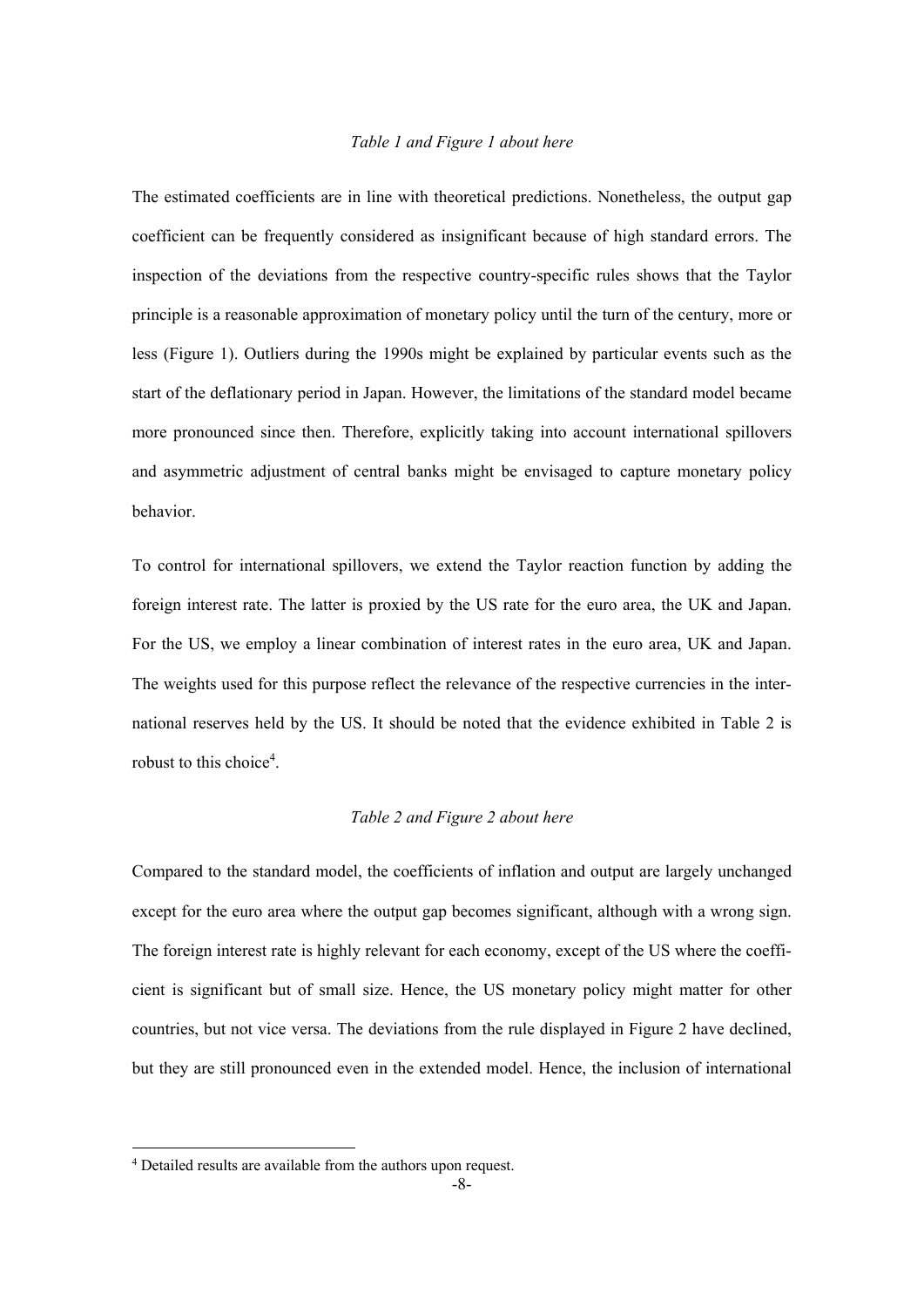#### *Table 1 and Figure 1 about here*

The estimated coefficients are in line with theoretical predictions. Nonetheless, the output gap coefficient can be frequently considered as insignificant because of high standard errors. The inspection of the deviations from the respective country-specific rules shows that the Taylor principle is a reasonable approximation of monetary policy until the turn of the century, more or less (Figure 1). Outliers during the 1990s might be explained by particular events such as the start of the deflationary period in Japan. However, the limitations of the standard model became more pronounced since then. Therefore, explicitly taking into account international spillovers and asymmetric adjustment of central banks might be envisaged to capture monetary policy behavior.

To control for international spillovers, we extend the Taylor reaction function by adding the foreign interest rate. The latter is proxied by the US rate for the euro area, the UK and Japan. For the US, we employ a linear combination of interest rates in the euro area, UK and Japan. The weights used for this purpose reflect the relevance of the respective currencies in the international reserves held by the US. It should be noted that the evidence exhibited in Table 2 is robust to this choice<sup>4</sup>.

#### *Table 2 and Figure 2 about here*

Compared to the standard model, the coefficients of inflation and output are largely unchanged except for the euro area where the output gap becomes significant, although with a wrong sign. The foreign interest rate is highly relevant for each economy, except of the US where the coefficient is significant but of small size. Hence, the US monetary policy might matter for other countries, but not vice versa. The deviations from the rule displayed in Figure 2 have declined, but they are still pronounced even in the extended model. Hence, the inclusion of international

<sup>4</sup> Detailed results are available from the authors upon request.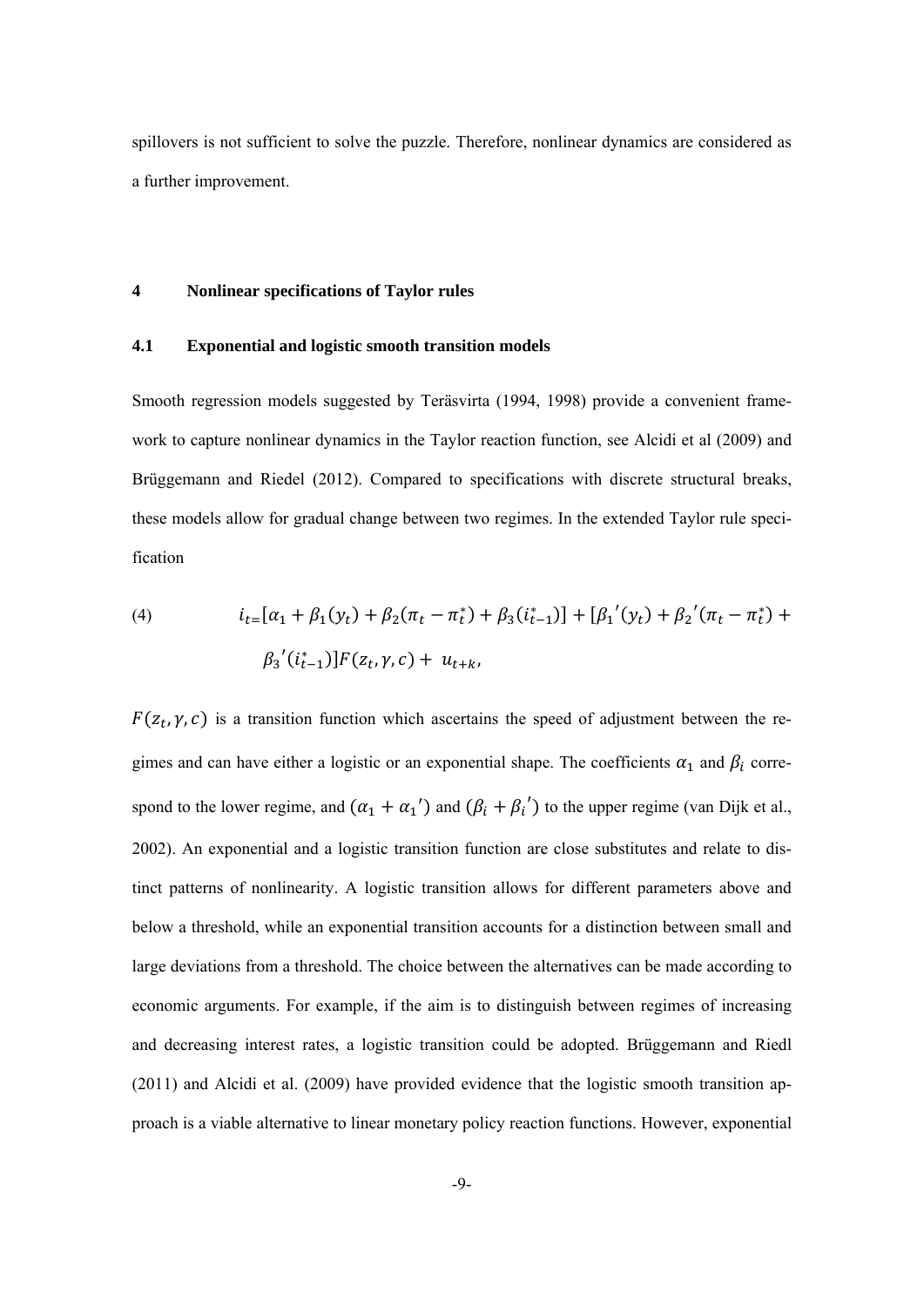spillovers is not sufficient to solve the puzzle. Therefore, nonlinear dynamics are considered as a further improvement.

#### **4 Nonlinear specifications of Taylor rules**

#### **4.1 Exponential and logistic smooth transition models**

Smooth regression models suggested by Teräsvirta (1994, 1998) provide a convenient framework to capture nonlinear dynamics in the Taylor reaction function, see Alcidi et al (2009) and Brüggemann and Riedel (2012). Compared to specifications with discrete structural breaks, these models allow for gradual change between two regimes. In the extended Taylor rule specification

(4) 
$$
i_{t} = [\alpha_1 + \beta_1(y_t) + \beta_2(\pi_t - \pi_t^*) + \beta_3(i_{t-1}^*)] + [\beta_1'(y_t) + \beta_2'(\pi_t - \pi_t^*) + \beta_3'(i_{t-1}^*)]F(z_t, \gamma, c) + u_{t+k},
$$

 $F(z_t, \gamma, c)$  is a transition function which ascertains the speed of adjustment between the regimes and can have either a logistic or an exponential shape. The coefficients  $\alpha_1$  and  $\beta_i$  correspond to the lower regime, and  $(\alpha_1 + \alpha_1)$  and  $(\beta_i + \beta_i')$  to the upper regime (van Dijk et al., 2002). An exponential and a logistic transition function are close substitutes and relate to distinct patterns of nonlinearity. A logistic transition allows for different parameters above and below a threshold, while an exponential transition accounts for a distinction between small and large deviations from a threshold. The choice between the alternatives can be made according to economic arguments. For example, if the aim is to distinguish between regimes of increasing and decreasing interest rates, a logistic transition could be adopted. Brüggemann and Riedl (2011) and Alcidi et al. (2009) have provided evidence that the logistic smooth transition approach is a viable alternative to linear monetary policy reaction functions. However, exponential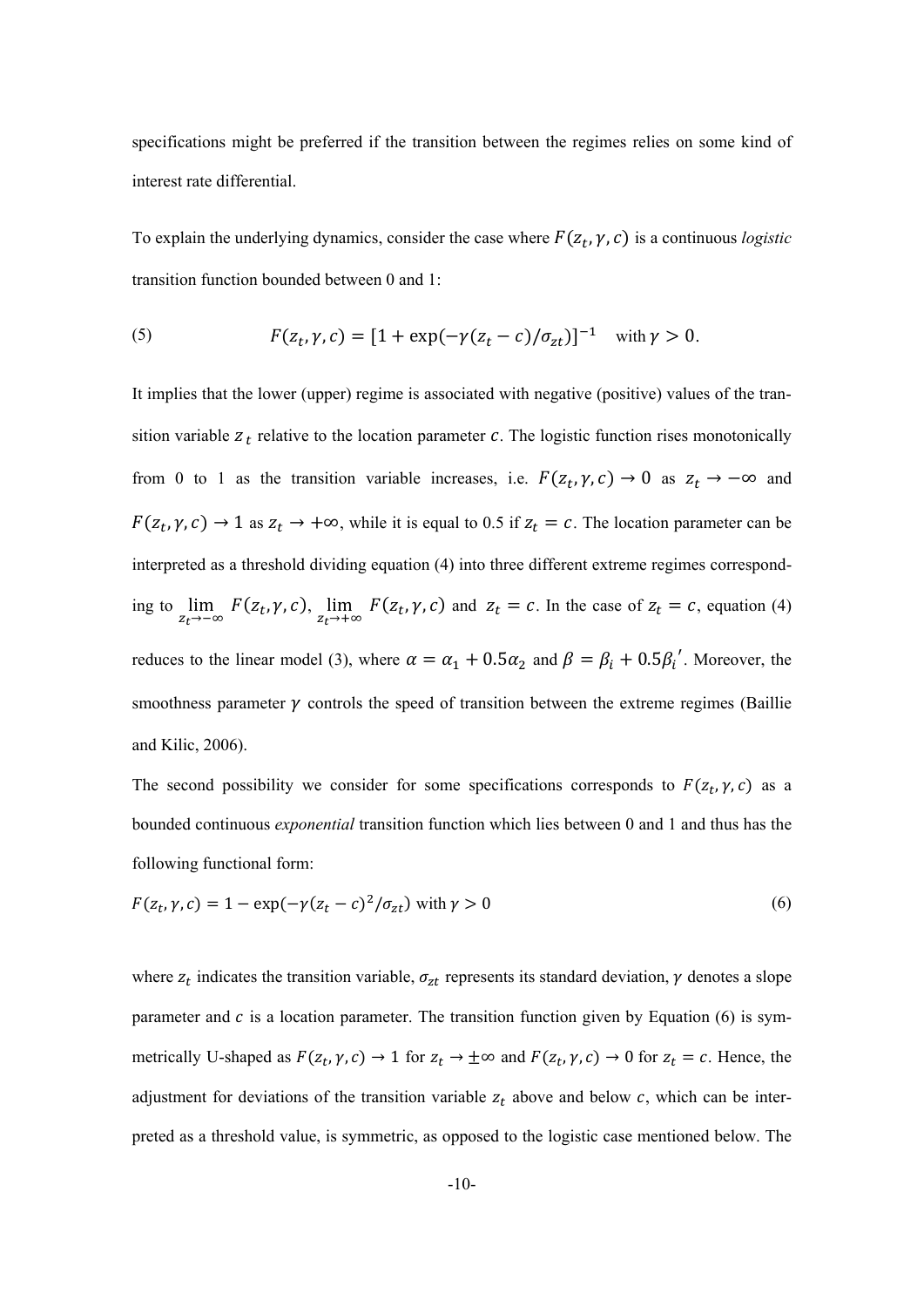specifications might be preferred if the transition between the regimes relies on some kind of interest rate differential.

To explain the underlying dynamics, consider the case where  $F(z_t, \gamma, c)$  is a continuous *logistic* transition function bounded between 0 and 1:

(5) 
$$
F(z_t, \gamma, c) = [1 + \exp(-\gamma(z_t - c)/\sigma_{zt})]^{-1} \text{ with } \gamma > 0.
$$

It implies that the lower (upper) regime is associated with negative (positive) values of the transition variable  $z_t$  relative to the location parameter  $c$ . The logistic function rises monotonically from 0 to 1 as the transition variable increases, i.e.  $F(z_t, \gamma, c) \rightarrow 0$  as  $z_t \rightarrow -\infty$  and  $F(z_t, \gamma, c) \rightarrow 1$  as  $z_t \rightarrow +\infty$ , while it is equal to 0.5 if  $z_t = c$ . The location parameter can be interpreted as a threshold dividing equation (4) into three different extreme regimes corresponding to  $\lim_{z_t \to -\infty} F(z_t, \gamma, c)$ ,  $\lim_{z_t \to +\infty} F(z_t, \gamma, c)$  and  $z_t = c$ . In the case of  $z_t = c$ , equation (4) reduces to the linear model (3), where  $\alpha = \alpha_1 + 0.5\alpha_2$  and  $\beta = \beta_i + 0.5\beta_i'$ . Moreover, the smoothness parameter  $\gamma$  controls the speed of transition between the extreme regimes (Baillie and Kilic, 2006).

The second possibility we consider for some specifications corresponds to  $F(z_t, \gamma, c)$  as a bounded continuous *exponential* transition function which lies between 0 and 1 and thus has the following functional form:

$$
F(z_t, \gamma, c) = 1 - \exp(-\gamma(z_t - c)^2/\sigma_{zt}) \text{ with } \gamma > 0
$$
\n
$$
(6)
$$

where  $z_t$  indicates the transition variable,  $\sigma_{zt}$  represents its standard deviation,  $\gamma$  denotes a slope parameter and  $c$  is a location parameter. The transition function given by Equation (6) is symmetrically U-shaped as  $F(z_t, \gamma, c) \to 1$  for  $z_t \to \pm \infty$  and  $F(z_t, \gamma, c) \to 0$  for  $z_t = c$ . Hence, the adjustment for deviations of the transition variable  $z_t$  above and below  $c$ , which can be interpreted as a threshold value, is symmetric, as opposed to the logistic case mentioned below. The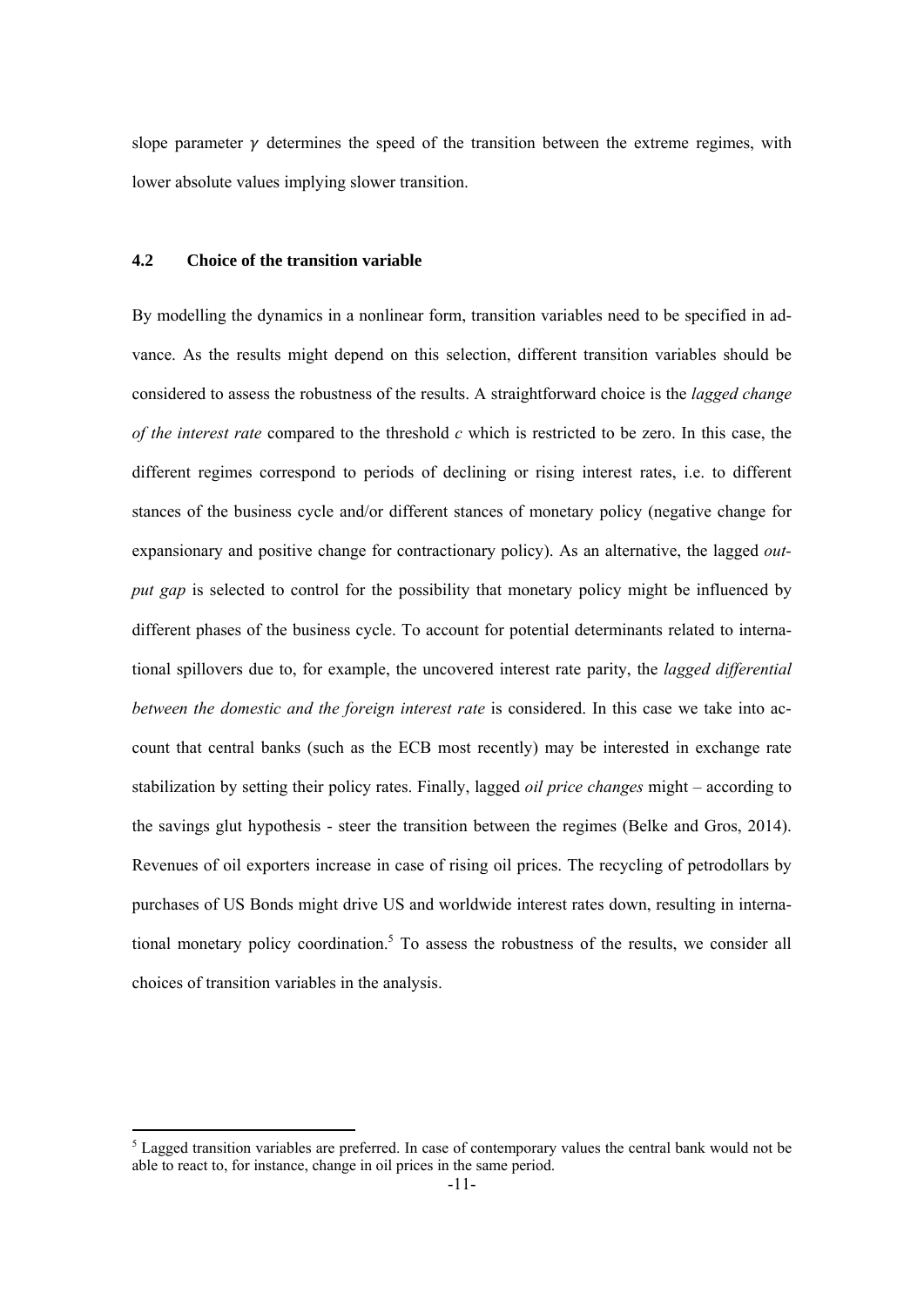slope parameter  $\gamma$  determines the speed of the transition between the extreme regimes, with lower absolute values implying slower transition.

### **4.2 Choice of the transition variable**

By modelling the dynamics in a nonlinear form, transition variables need to be specified in advance. As the results might depend on this selection, different transition variables should be considered to assess the robustness of the results. A straightforward choice is the *lagged change of the interest rate* compared to the threshold *c* which is restricted to be zero. In this case, the different regimes correspond to periods of declining or rising interest rates, i.e. to different stances of the business cycle and/or different stances of monetary policy (negative change for expansionary and positive change for contractionary policy). As an alternative, the lagged *output gap* is selected to control for the possibility that monetary policy might be influenced by different phases of the business cycle. To account for potential determinants related to international spillovers due to, for example, the uncovered interest rate parity, the *lagged differential between the domestic and the foreign interest rate* is considered. In this case we take into account that central banks (such as the ECB most recently) may be interested in exchange rate stabilization by setting their policy rates. Finally, lagged *oil price changes* might – according to the savings glut hypothesis - steer the transition between the regimes (Belke and Gros, 2014). Revenues of oil exporters increase in case of rising oil prices. The recycling of petrodollars by purchases of US Bonds might drive US and worldwide interest rates down, resulting in international monetary policy coordination.<sup>5</sup> To assess the robustness of the results, we consider all choices of transition variables in the analysis.

<sup>&</sup>lt;sup>5</sup> Lagged transition variables are preferred. In case of contemporary values the central bank would not be able to react to, for instance, change in oil prices in the same period.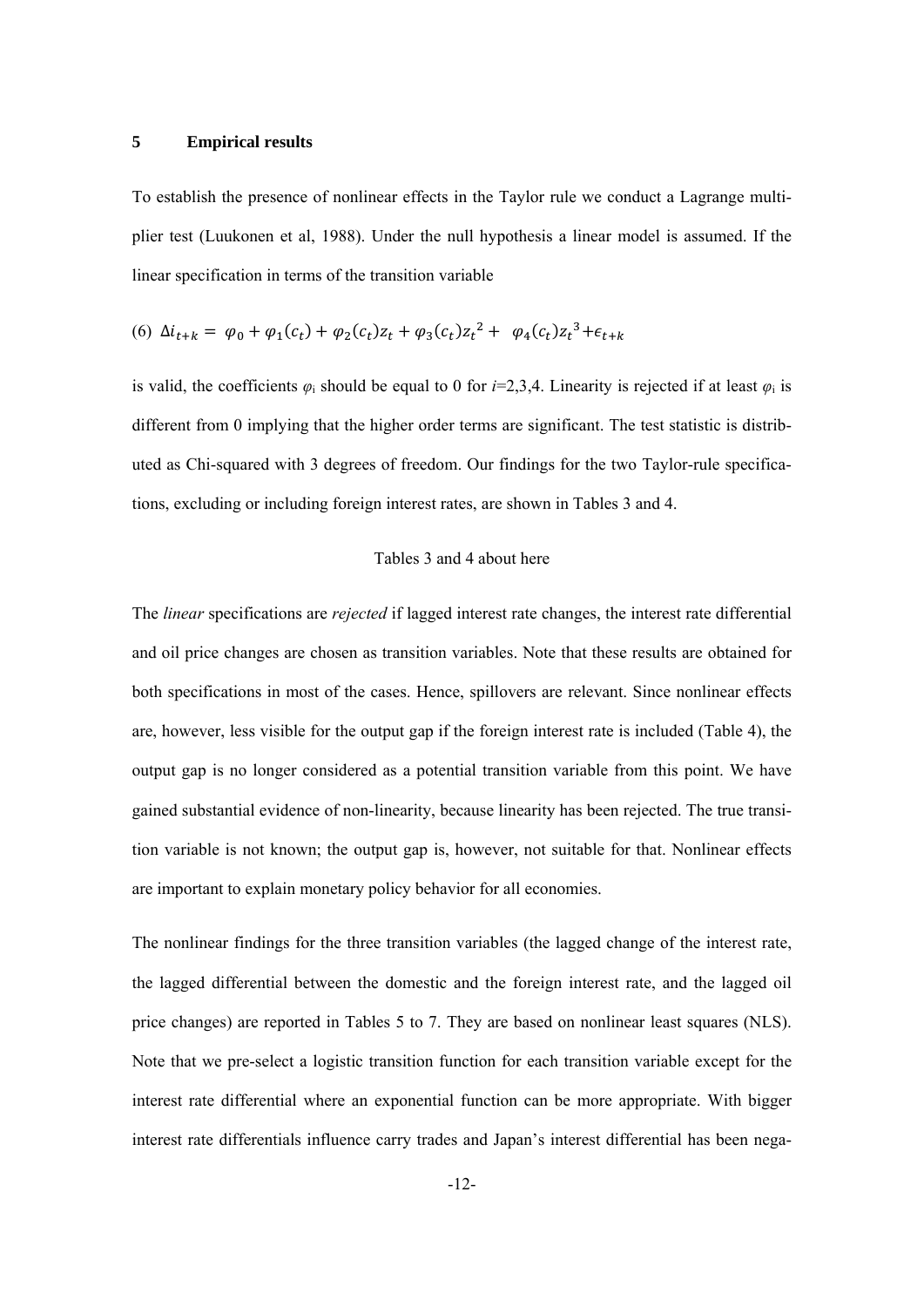#### **5 Empirical results**

To establish the presence of nonlinear effects in the Taylor rule we conduct a Lagrange multiplier test (Luukonen et al, 1988). Under the null hypothesis a linear model is assumed. If the linear specification in terms of the transition variable

(6) 
$$
\Delta i_{t+k} = \varphi_0 + \varphi_1(c_t) + \varphi_2(c_t)z_t + \varphi_3(c_t)z_t^2 + \varphi_4(c_t)z_t^3 + \epsilon_{t+k}
$$

is valid, the coefficients  $\varphi_i$  should be equal to 0 for *i*=2,3,4. Linearity is rejected if at least  $\varphi_i$  is different from 0 implying that the higher order terms are significant. The test statistic is distributed as Chi-squared with 3 degrees of freedom. Our findings for the two Taylor-rule specifications, excluding or including foreign interest rates, are shown in Tables 3 and 4.

### Tables 3 and 4 about here

The *linear* specifications are *rejected* if lagged interest rate changes, the interest rate differential and oil price changes are chosen as transition variables. Note that these results are obtained for both specifications in most of the cases. Hence, spillovers are relevant. Since nonlinear effects are, however, less visible for the output gap if the foreign interest rate is included (Table 4), the output gap is no longer considered as a potential transition variable from this point. We have gained substantial evidence of non-linearity, because linearity has been rejected. The true transition variable is not known; the output gap is, however, not suitable for that. Nonlinear effects are important to explain monetary policy behavior for all economies.

The nonlinear findings for the three transition variables (the lagged change of the interest rate, the lagged differential between the domestic and the foreign interest rate, and the lagged oil price changes) are reported in Tables 5 to 7. They are based on nonlinear least squares (NLS). Note that we pre-select a logistic transition function for each transition variable except for the interest rate differential where an exponential function can be more appropriate. With bigger interest rate differentials influence carry trades and Japan's interest differential has been nega-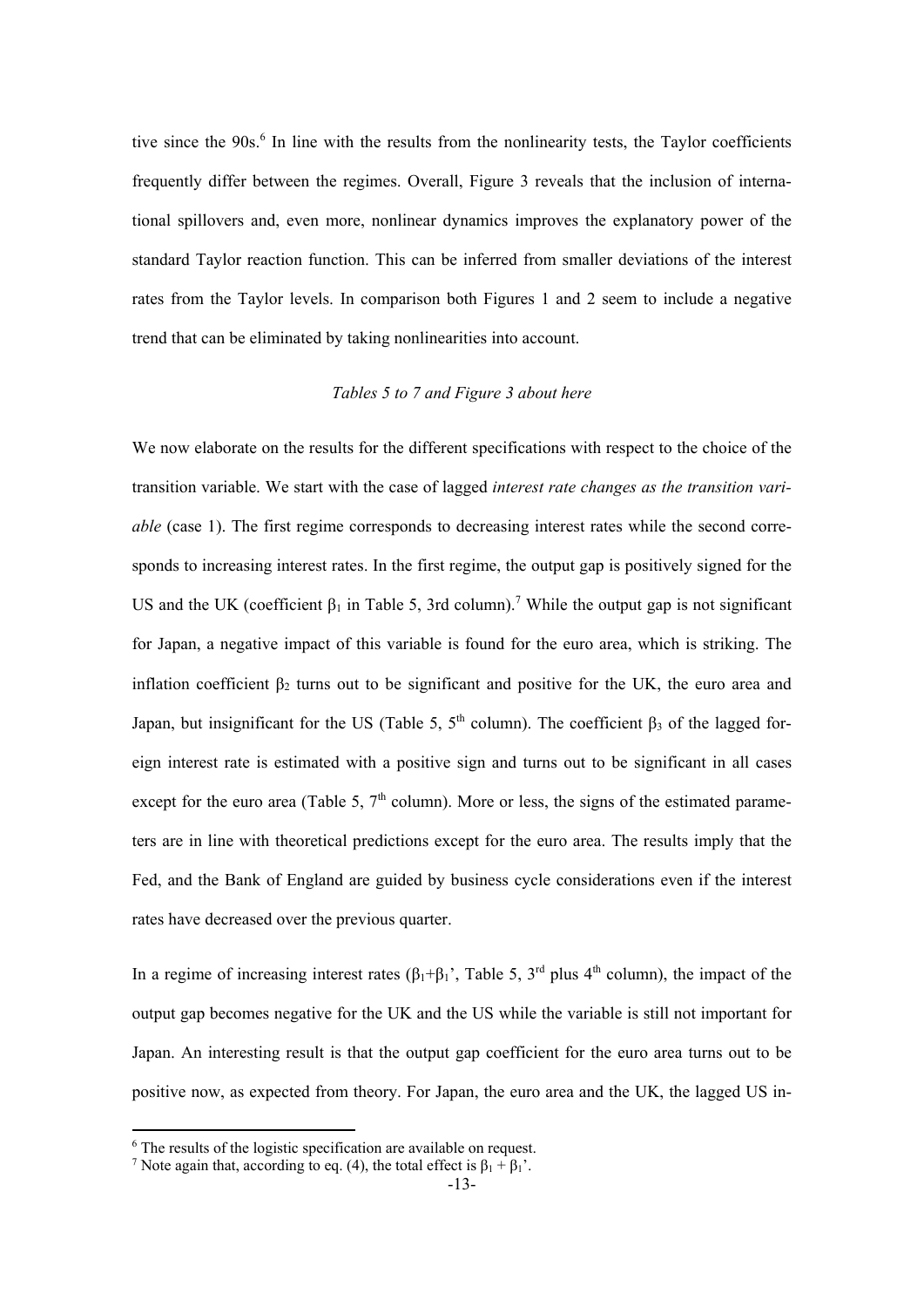tive since the 90s.<sup>6</sup> In line with the results from the nonlinearity tests, the Taylor coefficients frequently differ between the regimes. Overall, Figure 3 reveals that the inclusion of international spillovers and, even more, nonlinear dynamics improves the explanatory power of the standard Taylor reaction function. This can be inferred from smaller deviations of the interest rates from the Taylor levels. In comparison both Figures 1 and 2 seem to include a negative trend that can be eliminated by taking nonlinearities into account.

## *Tables 5 to 7 and Figure 3 about here*

We now elaborate on the results for the different specifications with respect to the choice of the transition variable. We start with the case of lagged *interest rate changes as the transition variable* (case 1). The first regime corresponds to decreasing interest rates while the second corresponds to increasing interest rates. In the first regime, the output gap is positively signed for the US and the UK (coefficient  $\beta_1$  in Table 5, 3rd column).<sup>7</sup> While the output gap is not significant for Japan, a negative impact of this variable is found for the euro area, which is striking. The inflation coefficient  $\beta_2$  turns out to be significant and positive for the UK, the euro area and Japan, but insignificant for the US (Table 5,  $5<sup>th</sup>$  column). The coefficient  $\beta_3$  of the lagged foreign interest rate is estimated with a positive sign and turns out to be significant in all cases except for the euro area (Table 5,  $7<sup>th</sup>$  column). More or less, the signs of the estimated parameters are in line with theoretical predictions except for the euro area. The results imply that the Fed, and the Bank of England are guided by business cycle considerations even if the interest rates have decreased over the previous quarter.

In a regime of increasing interest rates  $(\beta_1 + \beta_1)$ , Table 5, 3<sup>rd</sup> plus 4<sup>th</sup> column), the impact of the output gap becomes negative for the UK and the US while the variable is still not important for Japan. An interesting result is that the output gap coefficient for the euro area turns out to be positive now, as expected from theory. For Japan, the euro area and the UK, the lagged US in-

<sup>&</sup>lt;sup>6</sup> The results of the logistic specification are available on request.<br><sup>7</sup> Note again that according to eq. (4) the total effect is  $B_1 + B_2$ .

<sup>&</sup>lt;sup>7</sup> Note again that, according to eq. (4), the total effect is  $\beta_1 + \beta_1$ <sup>'</sup>.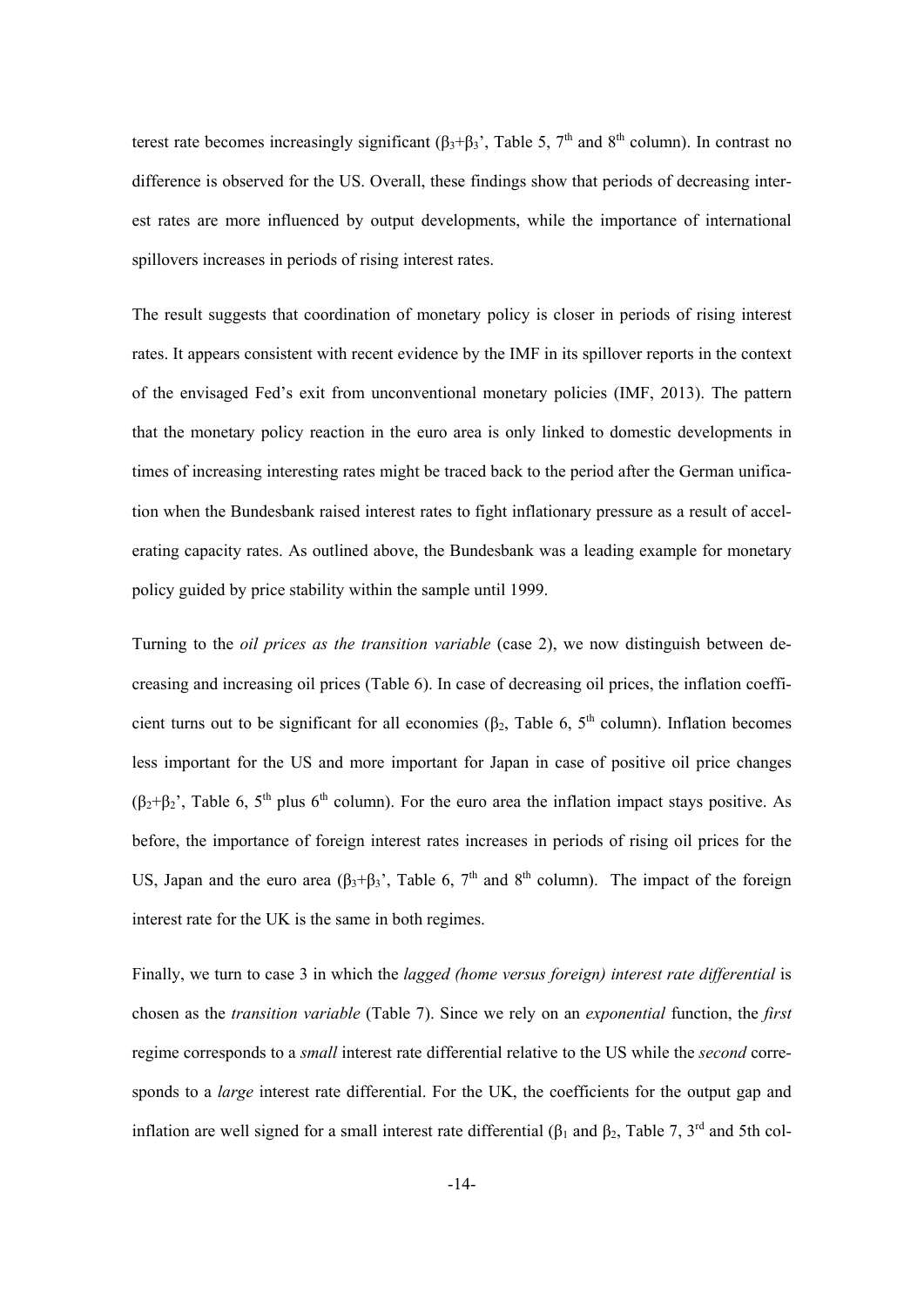terest rate becomes increasingly significant  $(\beta_3 + \beta_3)$ , Table 5, 7<sup>th</sup> and 8<sup>th</sup> column). In contrast no difference is observed for the US. Overall, these findings show that periods of decreasing interest rates are more influenced by output developments, while the importance of international spillovers increases in periods of rising interest rates.

The result suggests that coordination of monetary policy is closer in periods of rising interest rates. It appears consistent with recent evidence by the IMF in its spillover reports in the context of the envisaged Fed's exit from unconventional monetary policies (IMF, 2013). The pattern that the monetary policy reaction in the euro area is only linked to domestic developments in times of increasing interesting rates might be traced back to the period after the German unification when the Bundesbank raised interest rates to fight inflationary pressure as a result of accelerating capacity rates. As outlined above, the Bundesbank was a leading example for monetary policy guided by price stability within the sample until 1999.

Turning to the *oil prices as the transition variable* (case 2), we now distinguish between decreasing and increasing oil prices (Table 6). In case of decreasing oil prices, the inflation coefficient turns out to be significant for all economies ( $\beta_2$ , Table 6,  $5<sup>th</sup>$  column). Inflation becomes less important for the US and more important for Japan in case of positive oil price changes  $(\beta_2 + \beta_2)$ , Table 6, 5<sup>th</sup> plus 6<sup>th</sup> column). For the euro area the inflation impact stays positive. As before, the importance of foreign interest rates increases in periods of rising oil prices for the US, Japan and the euro area  $(\beta_3 + \beta_3)$ , Table 6, 7<sup>th</sup> and 8<sup>th</sup> column). The impact of the foreign interest rate for the UK is the same in both regimes.

Finally, we turn to case 3 in which the *lagged (home versus foreign) interest rate differential* is chosen as the *transition variable* (Table 7). Since we rely on an *exponential* function, the *first* regime corresponds to a *small* interest rate differential relative to the US while the *second* corresponds to a *large* interest rate differential. For the UK, the coefficients for the output gap and inflation are well signed for a small interest rate differential ( $\beta_1$  and  $\beta_2$ , Table 7, 3<sup>rd</sup> and 5th col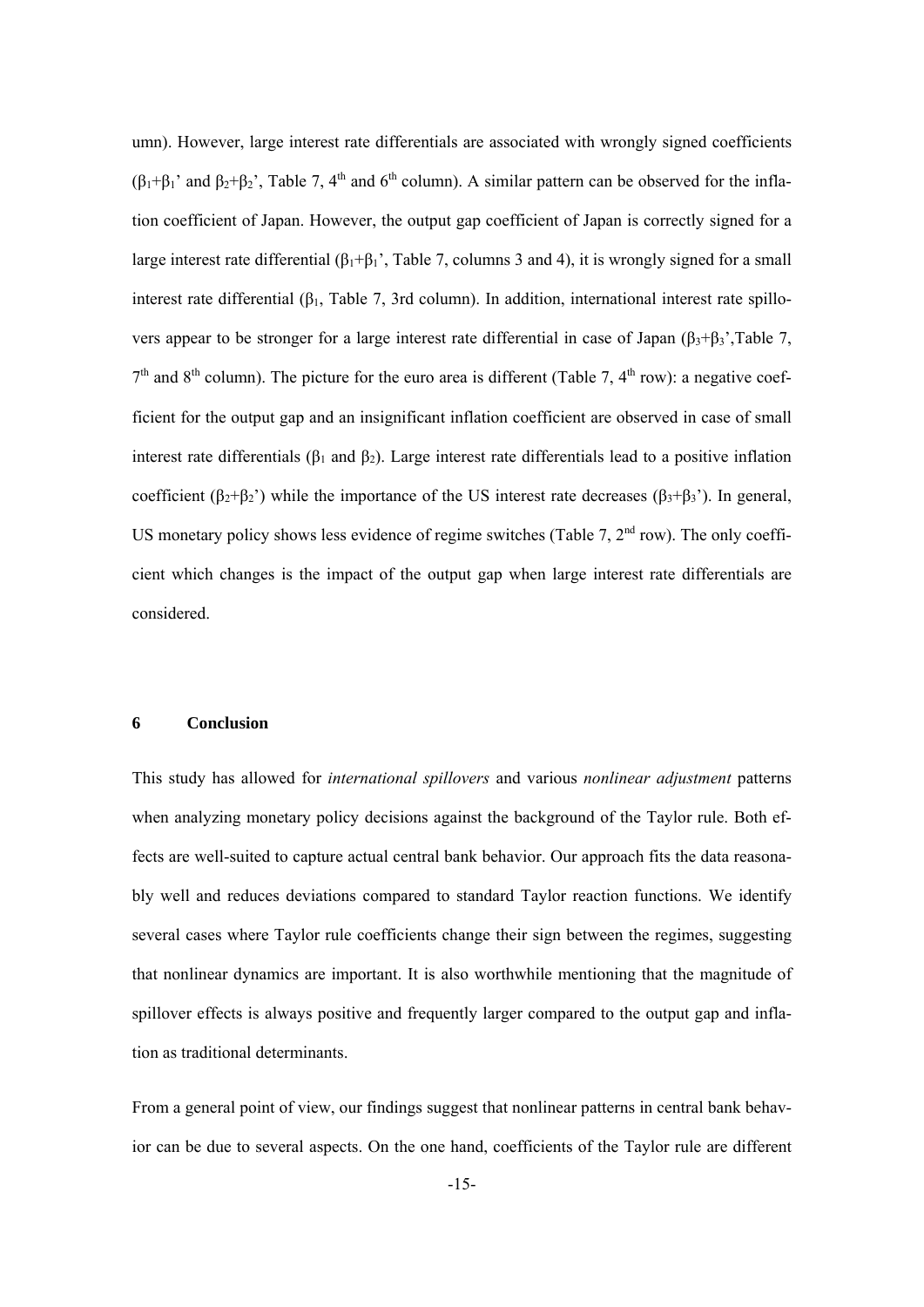umn). However, large interest rate differentials are associated with wrongly signed coefficients  $(\beta_1+\beta_1)$  and  $(\beta_2+\beta_2)$ , Table 7, 4<sup>th</sup> and 6<sup>th</sup> column). A similar pattern can be observed for the inflation coefficient of Japan. However, the output gap coefficient of Japan is correctly signed for a large interest rate differential  $(\beta_1 + \beta_1)$ , Table 7, columns 3 and 4), it is wrongly signed for a small interest rate differential (β<sub>1</sub>, Table 7, 3rd column). In addition, international interest rate spillovers appear to be stronger for a large interest rate differential in case of Japan  $(\beta_3 + \beta_3)$ , Table 7,  $7<sup>th</sup>$  and  $8<sup>th</sup>$  column). The picture for the euro area is different (Table 7, 4<sup>th</sup> row): a negative coefficient for the output gap and an insignificant inflation coefficient are observed in case of small interest rate differentials ( $\beta_1$  and  $\beta_2$ ). Large interest rate differentials lead to a positive inflation coefficient ( $\beta_2 + \beta_2$ ') while the importance of the US interest rate decreases ( $\beta_3 + \beta_3$ '). In general, US monetary policy shows less evidence of regime switches (Table 7,  $2<sup>nd</sup>$  row). The only coefficient which changes is the impact of the output gap when large interest rate differentials are considered.

#### **6 Conclusion**

This study has allowed for *international spillovers* and various *nonlinear adjustment* patterns when analyzing monetary policy decisions against the background of the Taylor rule. Both effects are well-suited to capture actual central bank behavior. Our approach fits the data reasonably well and reduces deviations compared to standard Taylor reaction functions. We identify several cases where Taylor rule coefficients change their sign between the regimes, suggesting that nonlinear dynamics are important. It is also worthwhile mentioning that the magnitude of spillover effects is always positive and frequently larger compared to the output gap and inflation as traditional determinants.

From a general point of view, our findings suggest that nonlinear patterns in central bank behavior can be due to several aspects. On the one hand, coefficients of the Taylor rule are different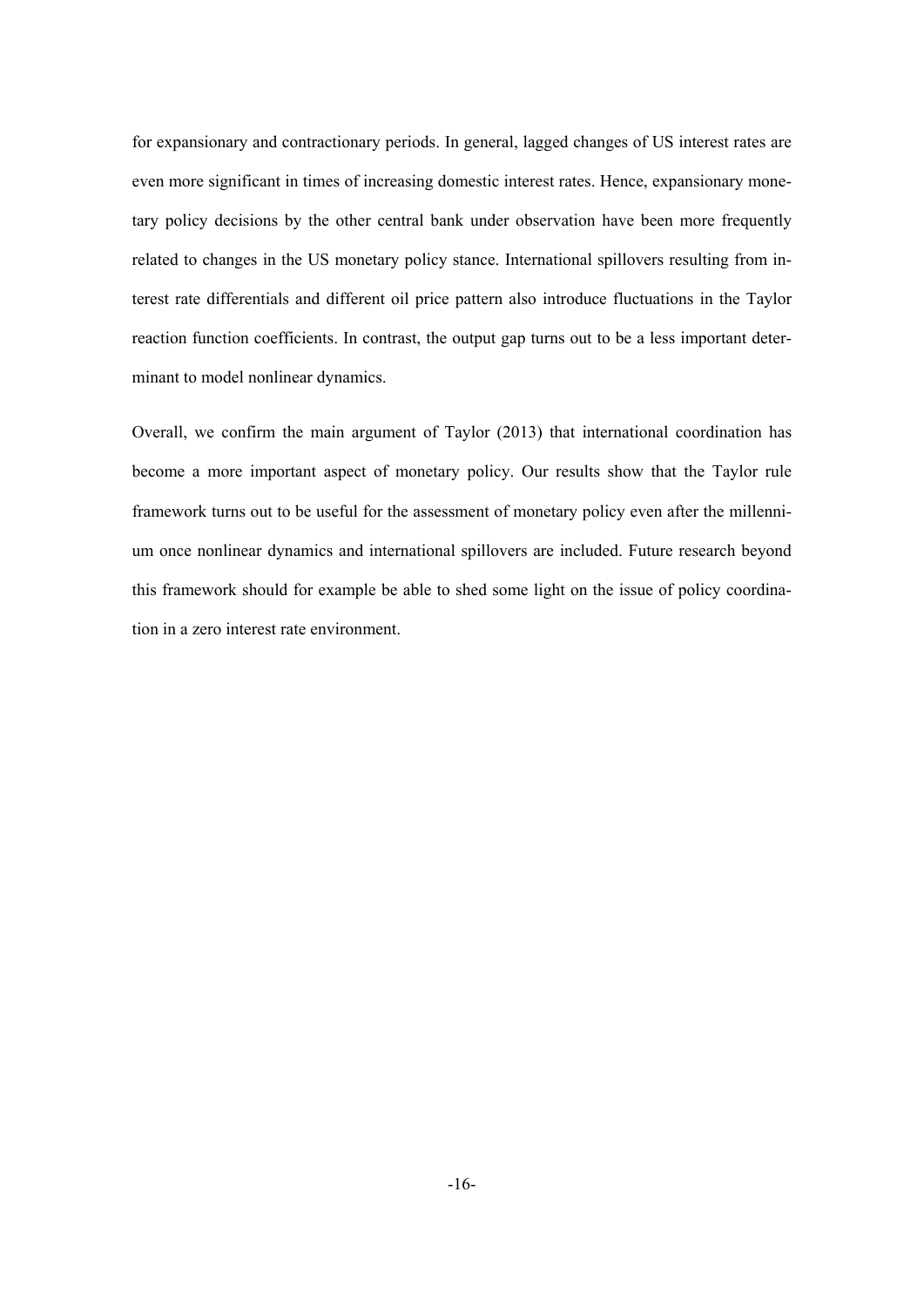for expansionary and contractionary periods. In general, lagged changes of US interest rates are even more significant in times of increasing domestic interest rates. Hence, expansionary monetary policy decisions by the other central bank under observation have been more frequently related to changes in the US monetary policy stance. International spillovers resulting from interest rate differentials and different oil price pattern also introduce fluctuations in the Taylor reaction function coefficients. In contrast, the output gap turns out to be a less important determinant to model nonlinear dynamics.

Overall, we confirm the main argument of Taylor (2013) that international coordination has become a more important aspect of monetary policy. Our results show that the Taylor rule framework turns out to be useful for the assessment of monetary policy even after the millennium once nonlinear dynamics and international spillovers are included. Future research beyond this framework should for example be able to shed some light on the issue of policy coordination in a zero interest rate environment.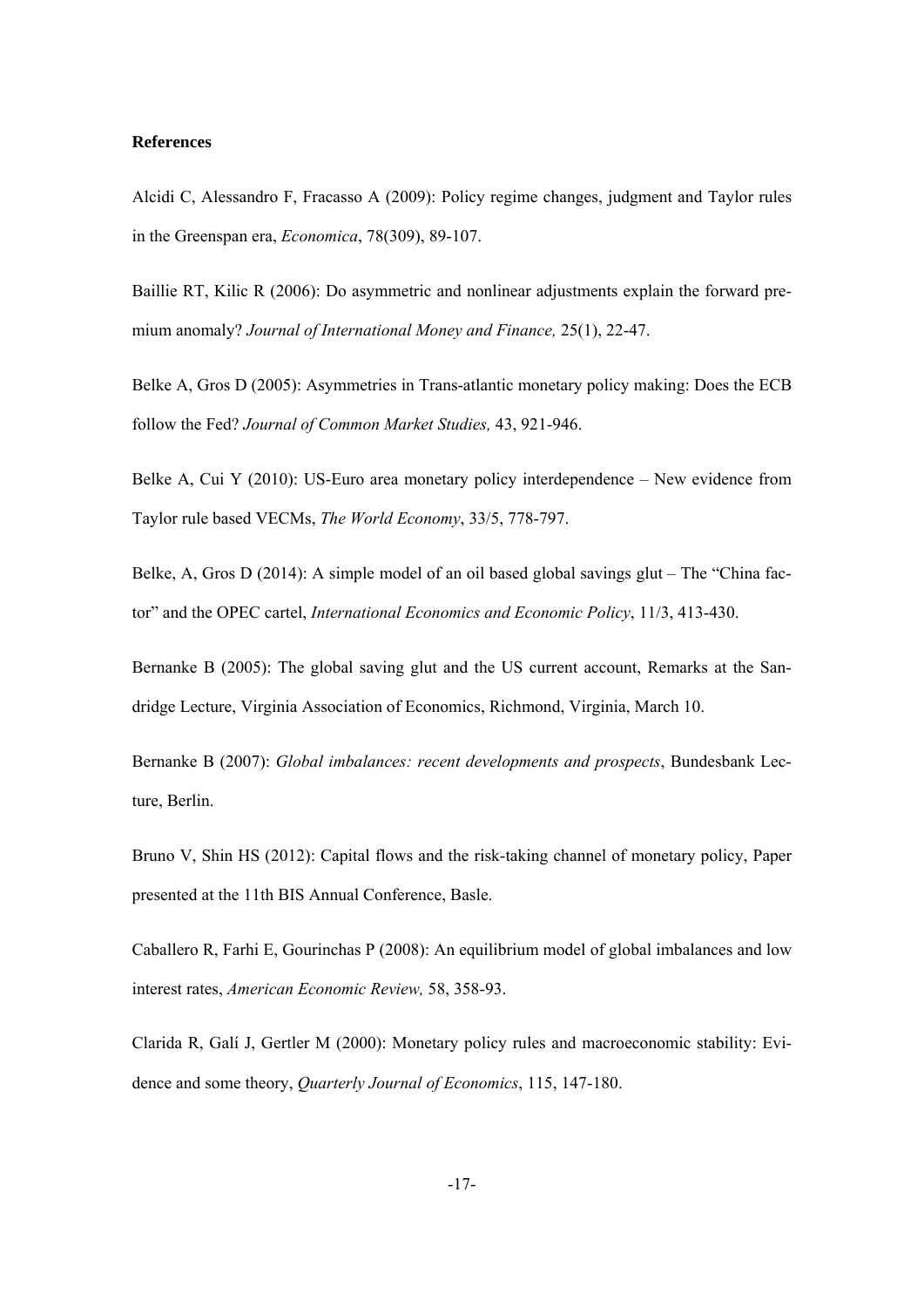#### **References**

Alcidi C, Alessandro F, Fracasso A (2009): Policy regime changes, judgment and Taylor rules in the Greenspan era, *Economica*, 78(309), 89-107.

Baillie RT, Kilic R (2006): Do asymmetric and nonlinear adjustments explain the forward premium anomaly? *Journal of International Money and Finance,* 25(1), 22-47.

Belke A, Gros D (2005): Asymmetries in Trans-atlantic monetary policy making: Does the ECB follow the Fed? *Journal of Common Market Studies,* 43, 921-946.

Belke A, Cui Y (2010): US-Euro area monetary policy interdependence – New evidence from Taylor rule based VECMs, *The World Economy*, 33/5, 778-797.

Belke, A, Gros D (2014): A simple model of an oil based global savings glut – The "China factor" and the OPEC cartel, *International Economics and Economic Policy*, 11/3, 413-430.

Bernanke B (2005): The global saving glut and the US current account, Remarks at the Sandridge Lecture, Virginia Association of Economics, Richmond, Virginia, March 10.

Bernanke B (2007): *Global imbalances: recent developments and prospects*, Bundesbank Lecture, Berlin.

Bruno V, Shin HS (2012): Capital flows and the risk-taking channel of monetary policy, Paper presented at the 11th BIS Annual Conference, Basle.

Caballero R, Farhi E, Gourinchas P (2008): An equilibrium model of global imbalances and low interest rates, *American Economic Review,* 58, 358-93.

Clarida R, Galí J, Gertler M (2000): Monetary policy rules and macroeconomic stability: Evidence and some theory, *Quarterly Journal of Economics*, 115, 147-180.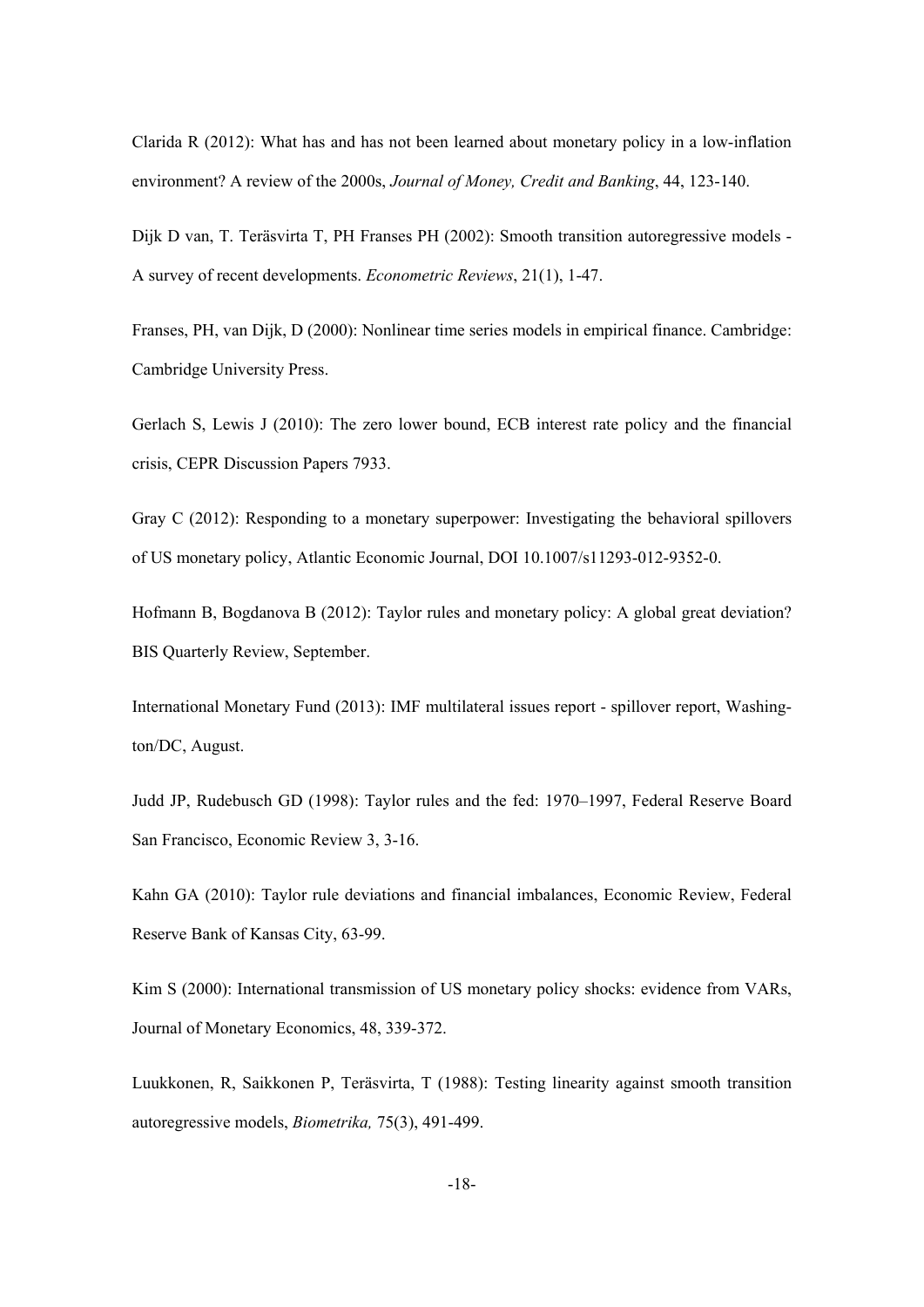Clarida R (2012): What has and has not been learned about monetary policy in a low-inflation environment? A review of the 2000s, *Journal of Money, Credit and Banking*, 44, 123-140.

Dijk D van, T. Teräsvirta T, PH Franses PH (2002): Smooth transition autoregressive models - A survey of recent developments. *Econometric Reviews*, 21(1), 1-47.

Franses, PH, van Dijk, D (2000): Nonlinear time series models in empirical finance. Cambridge: Cambridge University Press.

Gerlach S, Lewis J (2010): The zero lower bound, ECB interest rate policy and the financial crisis, CEPR Discussion Papers 7933.

Gray C (2012): Responding to a monetary superpower: Investigating the behavioral spillovers of US monetary policy, Atlantic Economic Journal, DOI 10.1007/s11293-012-9352-0.

Hofmann B, Bogdanova B (2012): Taylor rules and monetary policy: A global great deviation? BIS Quarterly Review, September.

International Monetary Fund (2013): IMF multilateral issues report - spillover report, Washington/DC, August.

Judd JP, Rudebusch GD (1998): Taylor rules and the fed: 1970–1997, Federal Reserve Board San Francisco, Economic Review 3, 3-16.

Kahn GA (2010): Taylor rule deviations and financial imbalances, Economic Review, Federal Reserve Bank of Kansas City, 63-99.

Kim S (2000): International transmission of US monetary policy shocks: evidence from VARs, Journal of Monetary Economics, 48, 339-372.

Luukkonen, R, Saikkonen P, Teräsvirta, T (1988): Testing linearity against smooth transition autoregressive models, *Biometrika,* 75(3), 491-499.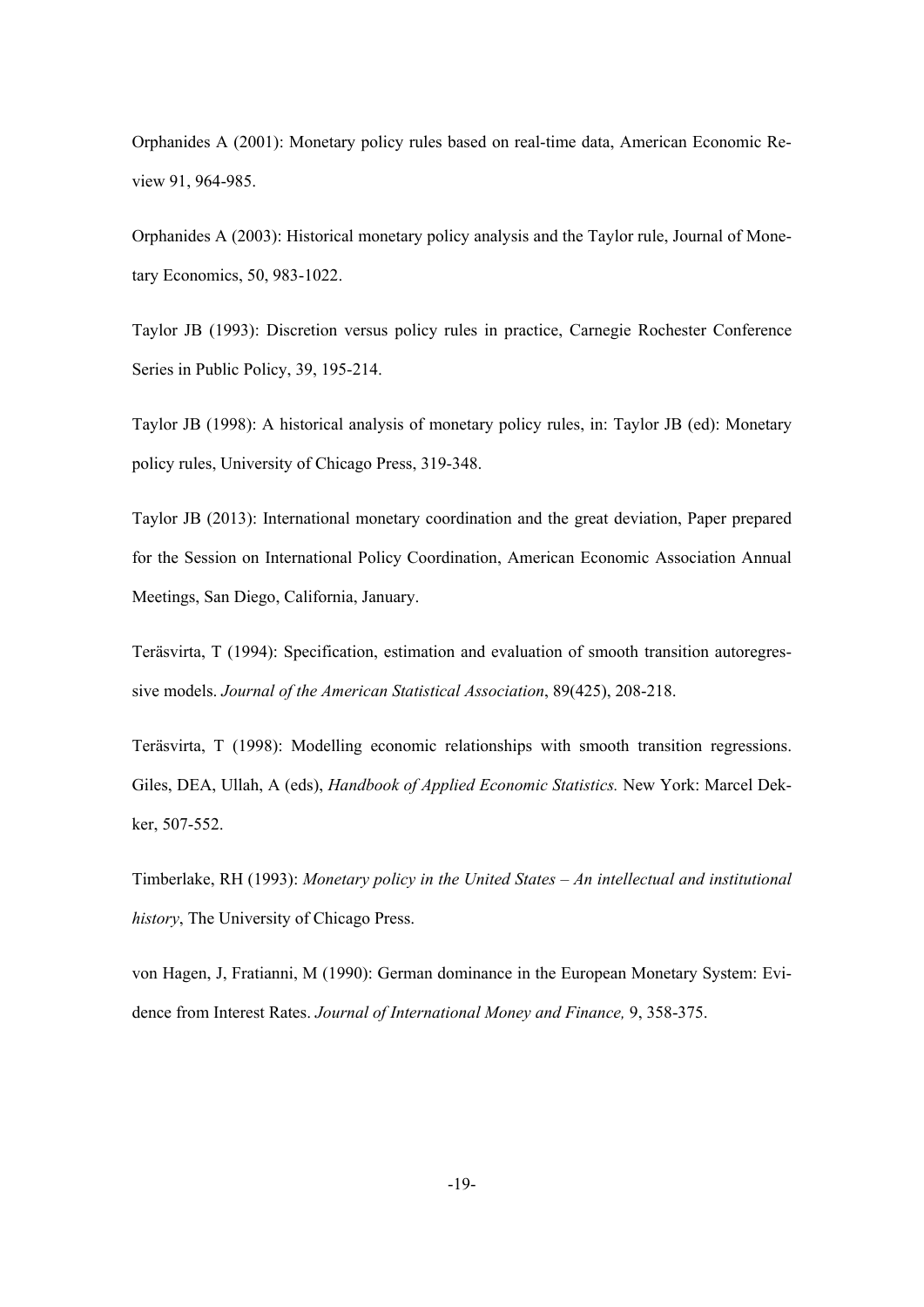Orphanides A (2001): Monetary policy rules based on real-time data, American Economic Review 91, 964-985.

Orphanides A (2003): Historical monetary policy analysis and the Taylor rule, Journal of Monetary Economics, 50, 983-1022.

Taylor JB (1993): Discretion versus policy rules in practice, Carnegie Rochester Conference Series in Public Policy, 39, 195-214.

Taylor JB (1998): A historical analysis of monetary policy rules, in: Taylor JB (ed): Monetary policy rules, University of Chicago Press, 319-348.

Taylor JB (2013): International monetary coordination and the great deviation, Paper prepared for the Session on International Policy Coordination, American Economic Association Annual Meetings, San Diego, California, January.

Teräsvirta, T (1994): Specification, estimation and evaluation of smooth transition autoregressive models. *Journal of the American Statistical Association*, 89(425), 208-218.

Teräsvirta, T (1998): Modelling economic relationships with smooth transition regressions. Giles, DEA, Ullah, A (eds), *Handbook of Applied Economic Statistics.* New York: Marcel Dekker, 507-552.

Timberlake, RH (1993): *Monetary policy in the United States – An intellectual and institutional history*, The University of Chicago Press.

von Hagen, J, Fratianni, M (1990): German dominance in the European Monetary System: Evidence from Interest Rates. *Journal of International Money and Finance,* 9, 358-375.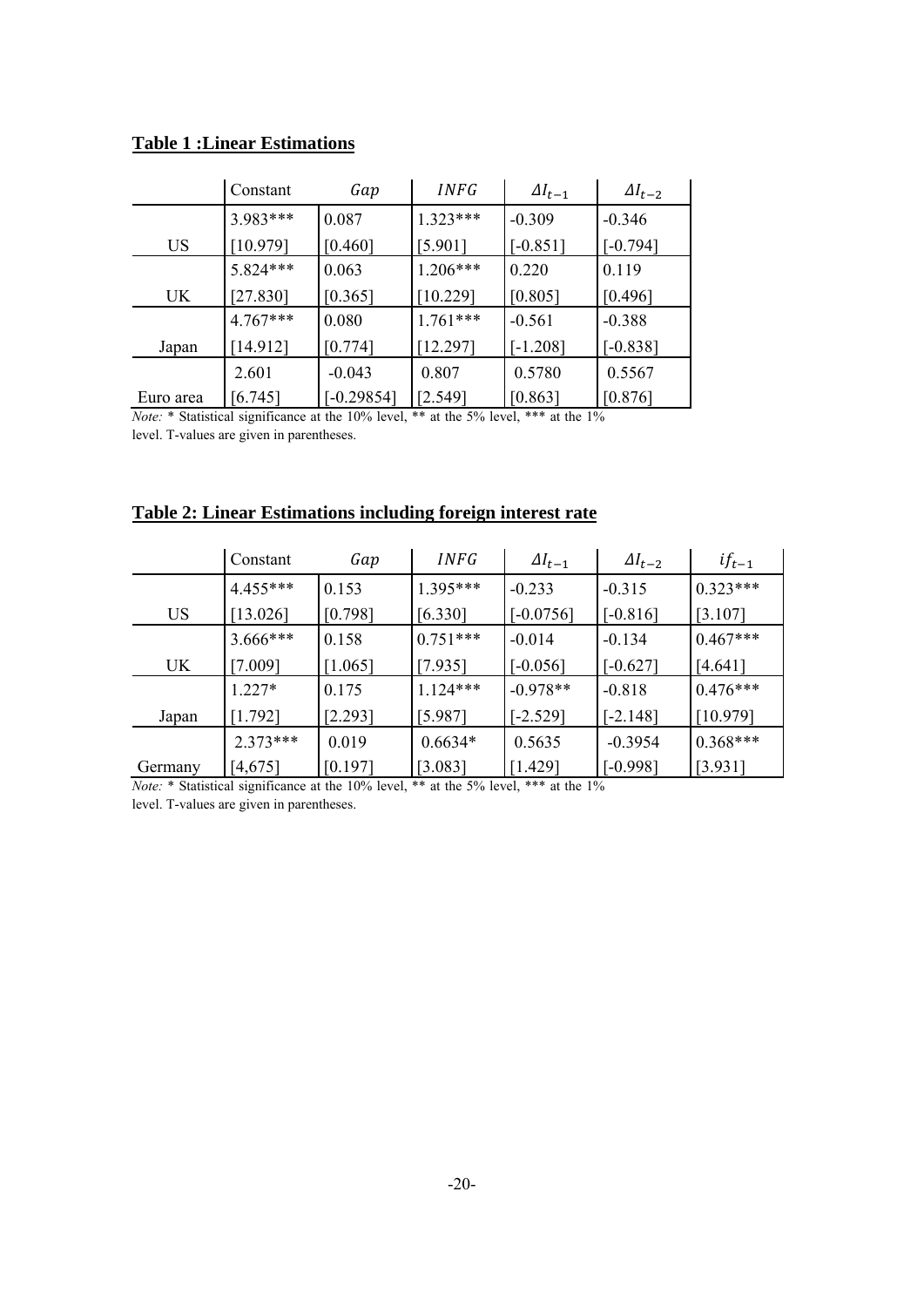# **Table 1 :Linear Estimations**

|           | Constant   | Gap          | <i>INFG</i> | $\Delta I_{t-1}$ | $\Delta I_{t-2}$ |
|-----------|------------|--------------|-------------|------------------|------------------|
|           | $3.983***$ | 0.087        | $1.323***$  | $-0.309$         | $-0.346$         |
| <b>US</b> | [10.979]   | [0.460]      | [5.901]     | $[-0.851]$       | $[-0.794]$       |
|           | $5.824***$ | 0.063        | $1.206***$  | 0.220            | 0.119            |
| UK        | [27.830]   | [0.365]      | $10.229$ ]  | [0.805]          | [0.496]          |
|           | $4.767***$ | 0.080        | $1.761***$  | $-0.561$         | $-0.388$         |
| Japan     | [14.912]   | [0.774]      | [12.297]    | $[-1.208]$       | $[-0.838]$       |
|           | 2.601      | $-0.043$     | 0.807       | 0.5780           | 0.5567           |
| Euro area | [6.745]    | $[-0.29854]$ | 2.549]      | [0.863]          | [0.876]          |

*Note:* \* Statistical significance at the 10% level, \*\* at the 5% level, \*\*\* at the 1% level. T-values are given in parentheses.

| Table 2: Linear Estimations including foreign interest rate |
|-------------------------------------------------------------|
|-------------------------------------------------------------|

|           | Constant   | Gap     | <i>INFG</i> | $\Delta I_{t-1}$ | $\Delta I_{t-2}$ | $if_{t-1}$ |
|-----------|------------|---------|-------------|------------------|------------------|------------|
|           | $4.455***$ | 0.153   | $1.395***$  | $-0.233$         | $-0.315$         | $0.323***$ |
| <b>US</b> | [13.026]   | [0.798] | [6.330]     | $[-0.0756]$      | $[-0.816]$       | [3.107]    |
|           | $3.666***$ | 0.158   | $0.751***$  | $-0.014$         | $-0.134$         | $0.467***$ |
| UK        | [7.009]    | [1.065] | [7.935]     | $[-0.056]$       | $[-0.627]$       | [4.641]    |
|           | $1.227*$   | 0.175   | $1.124***$  | $-0.978**$       | $-0.818$         | $0.476***$ |
| Japan     | [1.792]    | [2.293] | [5.987]     | $[-2.529]$       | $[-2.148]$       | [10.979]   |
|           | $2.373***$ | 0.019   | $0.6634*$   | 0.5635           | $-0.3954$        | $0.368***$ |
| Germany   | [4,675]    | [0.197] | [3.083]     | [1.429]          | $[-0.998]$       | [3.931]    |

*Note:* \* Statistical significance at the 10% level, \*\* at the 5% level, \*\*\* at the 1% level. T-values are given in parentheses.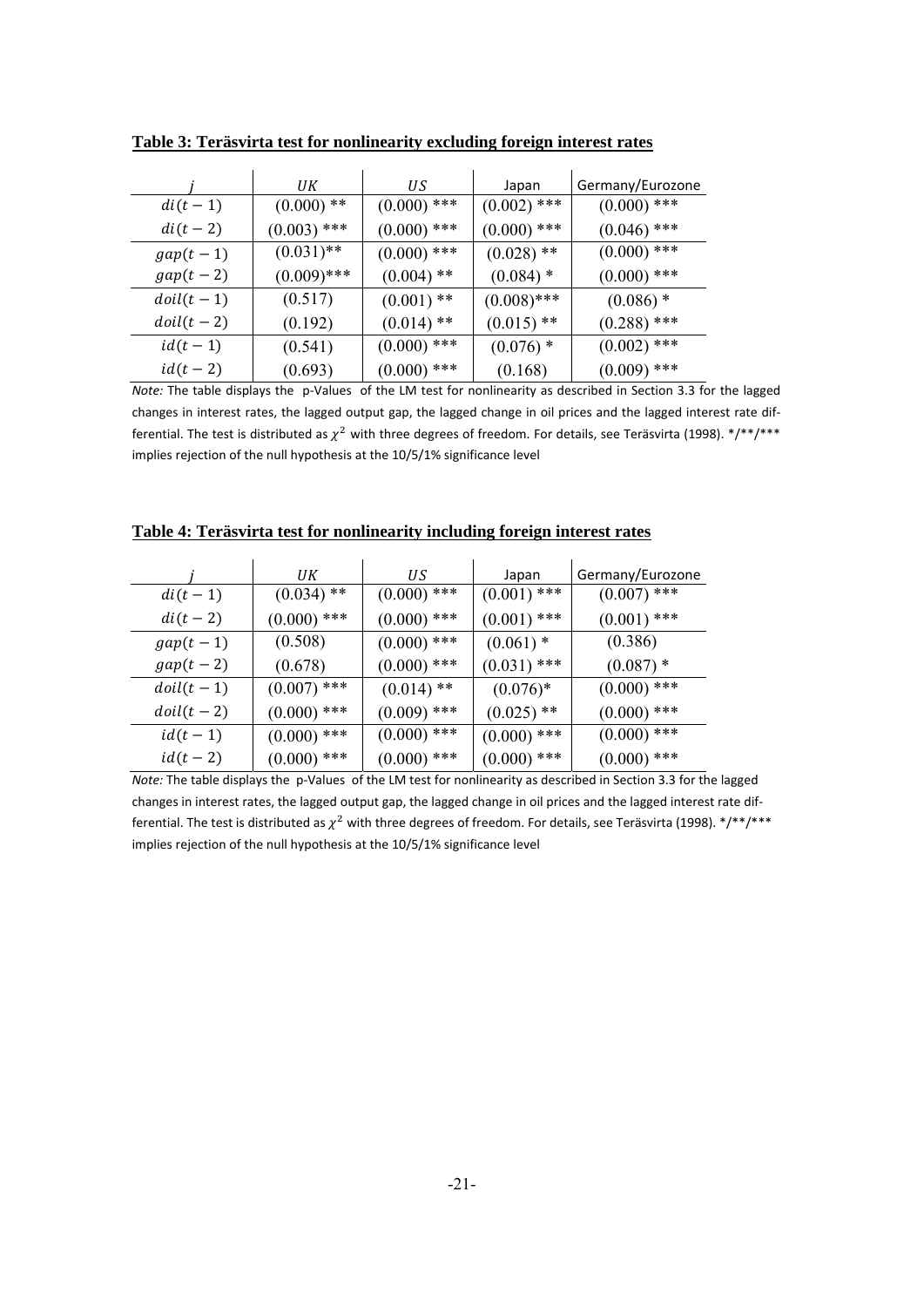|             | $\overline{UK}$ | US.           | Japan         | Germany/Eurozone |
|-------------|-----------------|---------------|---------------|------------------|
| $di(t-1)$   | $(0.000)$ **    | $(0.000)$ *** | $(0.002)$ *** | $(0.000)$ ***    |
| $di(t-2)$   | $(0.003)$ ***   | $(0.000)$ *** | $(0.000)$ *** | $(0.046)$ ***    |
| $gap(t-1)$  | $(0.031)$ **    | $(0.000)$ *** | $(0.028)$ **  | $(0.000)$ ***    |
| $gap(t-2)$  | $(0.009)$ ***   | $(0.004)$ **  | $(0.084)$ *   | $(0.000)$ ***    |
| $doil(t-1)$ | (0.517)         | $(0.001)$ **  | $(0.008)$ *** | $(0.086)$ *      |
| $doil(t-2)$ | (0.192)         | $(0.014)$ **  | $(0.015)$ **  | $(0.288)$ ***    |
| $id(t-1)$   | (0.541)         | $(0.000)$ *** | $(0.076)$ *   | $(0.002)$ ***    |
| $id(t-2)$   | (0.693)         | $(0.000)$ *** | (0.168)       | $(0.009)$ ***    |

**Table 3: Teräsvirta test for nonlinearity excluding foreign interest rates** 

*Note:* The table displays the p-Values of the LM test for nonlinearity as described in Section 3.3 for the lagged changes in interest rates, the lagged output gap, the lagged change in oil prices and the lagged interest rate dif‐ ferential. The test is distributed as  $\chi^2$  with three degrees of freedom. For details, see Teräsvirta (1998). \*/\*\*/\*\*\* implies rejection of the null hypothesis at the 10/5/1% significance level

|                    | UK.           | US.           | Japan         | Germany/Eurozone |
|--------------------|---------------|---------------|---------------|------------------|
| $di(t-1)$          | $(0.034)$ **  | $(0.000)$ *** | $(0.001)$ *** | $(0.007)$ ***    |
| $di(t-2)$          | $(0.000)$ *** | $(0.000)$ *** | $(0.001)$ *** | $(0.001)$ ***    |
| $gap(t-1)$         | (0.508)       | $(0.000)$ *** | $(0.061)$ *   | (0.386)          |
| $gap(t-2)$         | (0.678)       | $(0.000)$ *** | $(0.031)$ *** | $(0.087)$ *      |
| $doil(t-1)$        | $(0.007)$ *** | $(0.014)$ **  | $(0.076)^*$   | $(0.000)$ ***    |
| $\text{doil}(t-2)$ | $(0.000)$ *** | $(0.009)$ *** | $(0.025)$ **  | $(0.000)$ ***    |
| $id(t-1)$          | $(0.000)$ *** | $(0.000)$ *** | $(0.000)$ *** | $(0.000)$ ***    |
| $id(t-2)$          | $(0.000)$ *** | $(0.000)$ *** | $(0.000)$ *** | $(0.000)$ ***    |

| Table 4: Teräsvirta test for nonlinearity including foreign interest rates |  |  |
|----------------------------------------------------------------------------|--|--|
|                                                                            |  |  |

*Note:* The table displays the p-Values of the LM test for nonlinearity as described in Section 3.3 for the lagged changes in interest rates, the lagged output gap, the lagged change in oil prices and the lagged interest rate dif‐ ferential. The test is distributed as  $\chi^2$  with three degrees of freedom. For details, see Teräsvirta (1998). \*/\*\*/\*\*\* implies rejection of the null hypothesis at the 10/5/1% significance level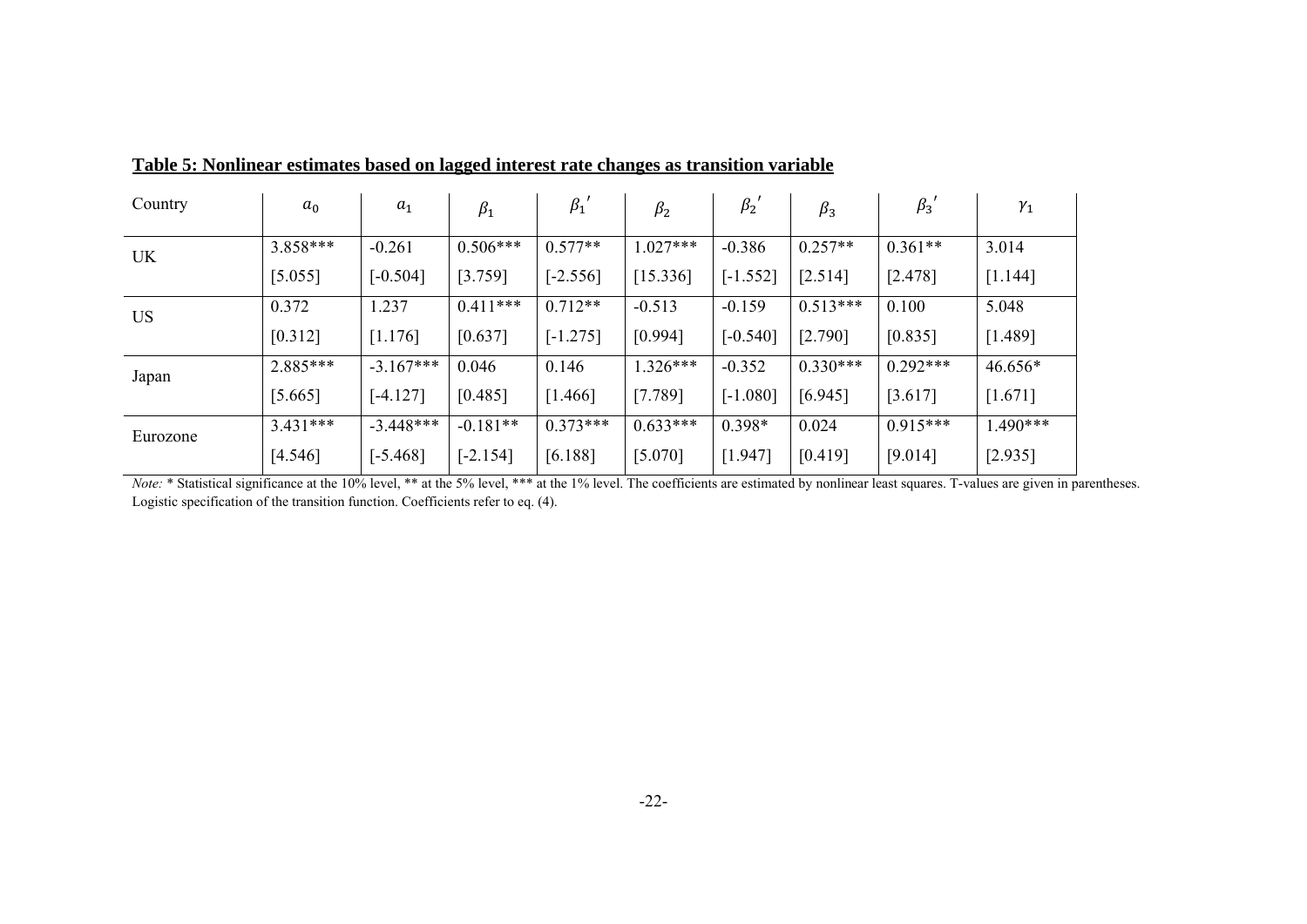| Country   | $a_0$      | $a_1$       | $\beta_1$  | $\beta_1$  | $\beta_2$  | $\beta_2$  | $\beta_3$  | $\beta_3$  | $\gamma_1$ |
|-----------|------------|-------------|------------|------------|------------|------------|------------|------------|------------|
| UK        | 3.858 ***  | $-0.261$    | $0.506***$ | $0.577**$  | $1.027***$ | $-0.386$   | $0.257**$  | $0.361**$  | 3.014      |
|           | [5.055]    | $[-0.504]$  | [3.759]    | $[-2.556]$ | [15.336]   | $[-1.552]$ | [2.514]    | [2.478]    | [1.144]    |
| <b>US</b> | 0.372      | 1.237       | $0.411***$ | $0.712**$  | $-0.513$   | $-0.159$   | $0.513***$ | 0.100      | 5.048      |
|           | [0.312]    | [1.176]     | [0.637]    | $[-1.275]$ | [0.994]    | $[-0.540]$ | [2.790]    | [0.835]    | [1.489]    |
| Japan     | 2.885***   | $-3.167***$ | 0.046      | 0.146      | $1.326***$ | $-0.352$   | $0.330***$ | $0.292***$ | 46.656*    |
|           | [5.665]    | $[-4.127]$  | [0.485]    | [1.466]    | [7.789]    | $[-1.080]$ | [6.945]    | [3.617]    | [1.671]    |
| Eurozone  | $3.431***$ | $-3.448***$ | $-0.181**$ | $0.373***$ | $0.633***$ | $0.398*$   | 0.024      | $0.915***$ | $1.490***$ |
|           | [4.546]    | $[-5.468]$  | $[-2.154]$ | [6.188]    | [5.070]    | [1.947]    | [0.419]    | [9.014]    | [2.935]    |

**Table 5: Nonlinear estimates based on lagged interest rate changes as transition variable** 

*Note:* \* Statistical significance at the 10% level, \*\* at the 5% level, \*\*\* at the 1% level. The coefficients are estimated by nonlinear least squares. T-values are given in parentheses. Logistic specification of the transition function. Coefficients refer to eq. (4).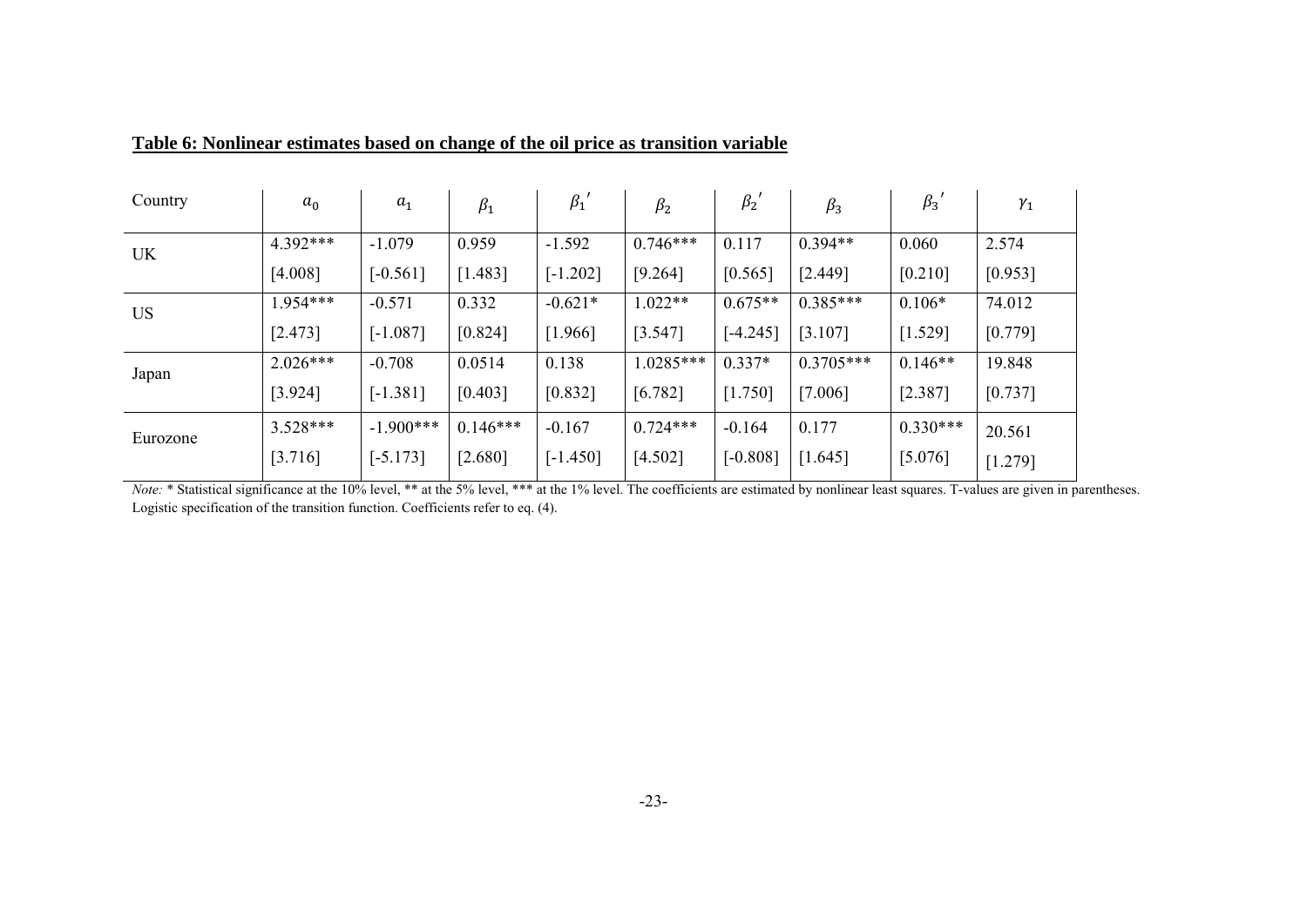| Country   | $a_0$      | $a_1$       | $\beta_1$  | $\beta_1$  | $\beta_2$   | $\beta_2$ ' | $\beta_3$   | $\beta_3$  | $\gamma_1$ |
|-----------|------------|-------------|------------|------------|-------------|-------------|-------------|------------|------------|
| <b>UK</b> | 4.392***   | $-1.079$    | 0.959      | $-1.592$   | $0.746***$  | 0.117       | $0.394**$   | 0.060      | 2.574      |
|           | [4.008]    | $[-0.561]$  | [1.483]    | $[-1.202]$ | [9.264]     | [0.565]     | [2.449]     | [0.210]    | [0.953]    |
| <b>US</b> | 1.954***   | $-0.571$    | 0.332      | $-0.621*$  | $1.022**$   | $0.675**$   | $0.385***$  | $0.106*$   | 74.012     |
|           | [2.473]    | $[-1.087]$  | [0.824]    | [1.966]    | [3.547]     | $[-4.245]$  | [3.107]     | [1.529]    | [0.779]    |
| Japan     | $2.026***$ | $-0.708$    | 0.0514     | 0.138      | $1.0285***$ | $0.337*$    | $0.3705***$ | $0.146**$  | 19.848     |
|           | [3.924]    | $[-1.381]$  | [0.403]    | [0.832]    | [6.782]     | [1.750]     | [7.006]     | [2.387]    | [0.737]    |
| Eurozone  | $3.528***$ | $-1.900***$ | $0.146***$ | $-0.167$   | $0.724***$  | $-0.164$    | 0.177       | $0.330***$ | 20.561     |
|           | [3.716]    | $[-5.173]$  | [2.680]    | $[-1.450]$ | [4.502]     | $[-0.808]$  | [1.645]     | [5.076]    | [1.279]    |

**Table 6: Nonlinear estimates based on change of the oil price as transition variable** 

*Note:* \* Statistical significance at the 10% level, \*\*\* at the 5% level, \*\*\* at the 1% level. The coefficients are estimated by nonlinear least squares. T-values are given in parentheses. Logistic specification of the transition function. Coefficients refer to eq. (4).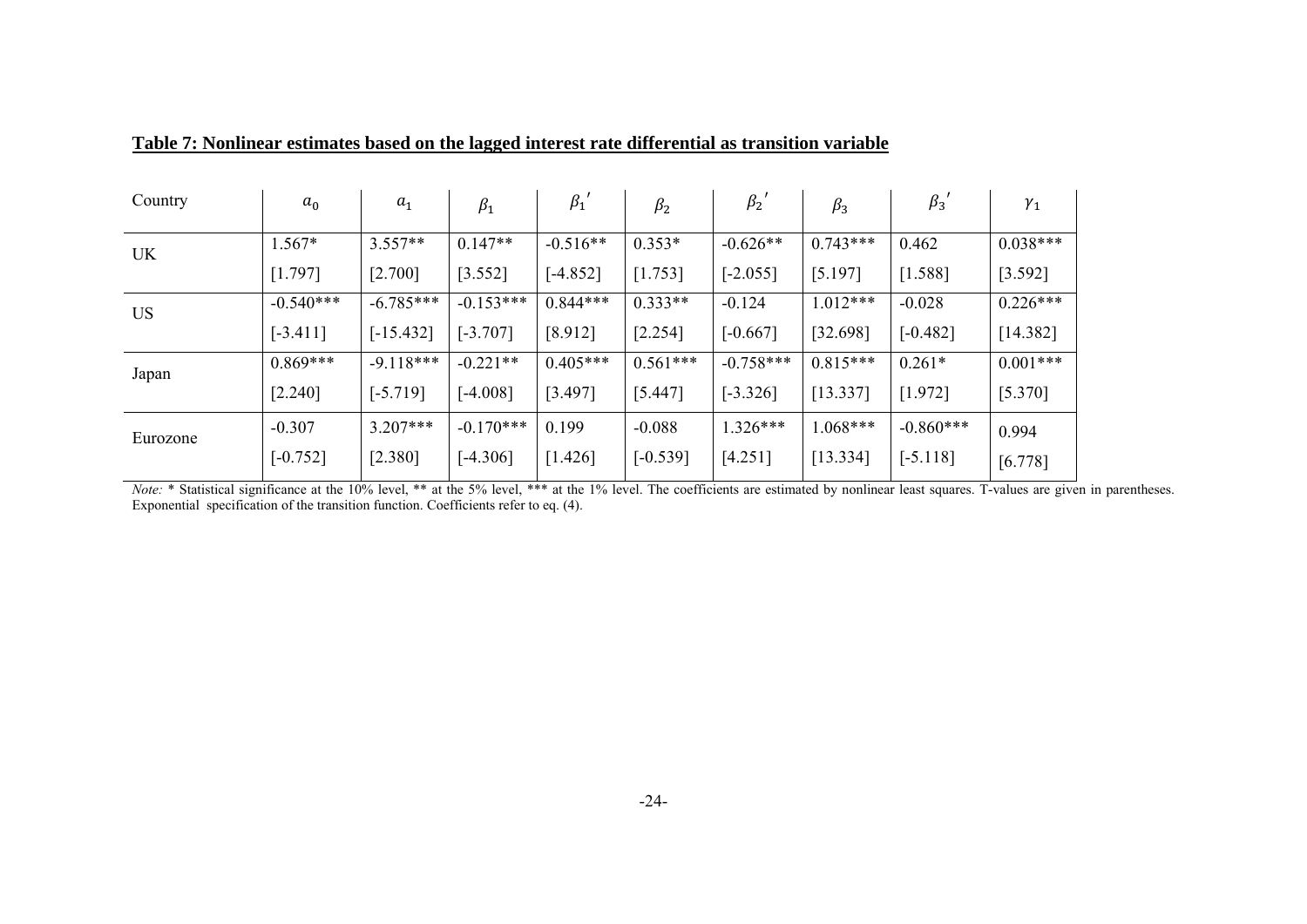| Country   | $a_0$       | $a_1$       | $\beta_1$   | $\beta_1$  | $\beta_2$  | $\beta_2$   | $\beta_3$  | $\beta_3$   | $\gamma_1$ |
|-----------|-------------|-------------|-------------|------------|------------|-------------|------------|-------------|------------|
| UK        | $1.567*$    | $3.557**$   | $0.147**$   | $-0.516**$ | $0.353*$   | $-0.626**$  | $0.743***$ | 0.462       | $0.038***$ |
|           | [1.797]     | [2.700]     | [3.552]     | $[-4.852]$ | [1.753]    | $[-2.055]$  | [5.197]    | [1.588]     | [3.592]    |
| <b>US</b> | $-0.540***$ | $-6.785***$ | $-0.153***$ | $0.844***$ | $0.333**$  | $-0.124$    | $1.012***$ | $-0.028$    | $0.226***$ |
|           | $[-3.411]$  | $[-15.432]$ | $[-3.707]$  | [8.912]    | [2.254]    | $[-0.667]$  | [32.698]   | $[-0.482]$  | [14.382]   |
| Japan     | $0.869***$  | $-9.118***$ | $-0.221**$  | $0.405***$ | $0.561***$ | $-0.758***$ | $0.815***$ | $0.261*$    | $0.001***$ |
|           | [2.240]     | $[-5.719]$  | $[-4.008]$  | [3.497]    | [5.447]    | $[-3.326]$  | [13.337]   | [1.972]     | [5.370]    |
| Eurozone  | $-0.307$    | $3.207***$  | $-0.170***$ | 0.199      | $-0.088$   | $1.326***$  | $1.068***$ | $-0.860***$ | 0.994      |
|           | $[-0.752]$  | [2.380]     | $[-4.306]$  | [1.426]    | $[-0.539]$ | [4.251]     | [13.334]   | $[-5.118]$  | [6.778]    |

**Table 7: Nonlinear estimates based on the lagged interest rate differential as transition variable** 

*Note:* \* Statistical significance at the 10% level, \*\* at the 5% level, \*\*\* at the 1% level. The coefficients are estimated by nonlinear least squares. T-values are given in parentheses. Exponential specification of the transition function. Coefficients refer to eq. (4).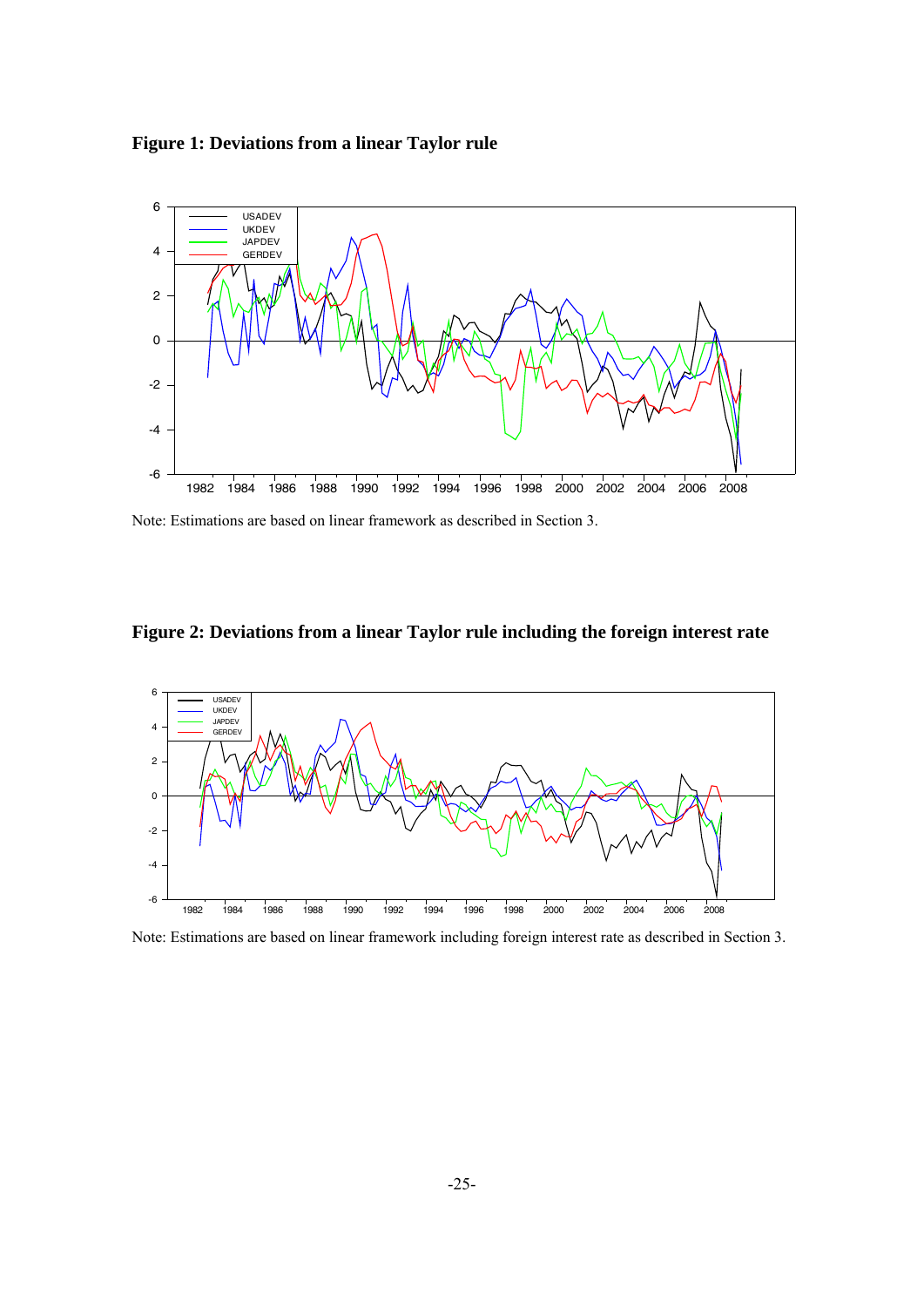



Note: Estimations are based on linear framework as described in Section 3.





Note: Estimations are based on linear framework including foreign interest rate as described in Section 3.